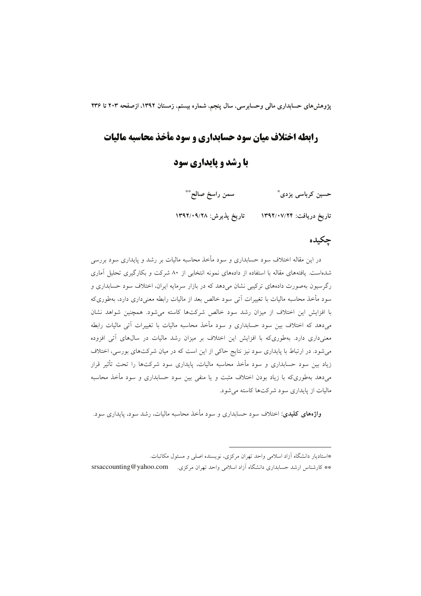یژوهش های حسابداری مالی وحسابرسی، سال ینجم، شماره بیستم، زمستان ۱۳۹۲، ازصفحه ۲۰۳ تا ۲۳۶

# رابطه اختلاف میان سود حسابداری و سود مأخذ محاسبه مالیات

# **با رشد و پایداری سود**

سمن راسخ صالح\*\* حسین کرباسی یزدی ؓ

تاريخ دريافت: ١٣٩٢/٠٧/٢۴ تاريخ پذيرش: ١٣٩٢/٠٩/٢٨ ا

## حكىدە

در این مقاله اختلاف سود حسابداری و سود مأخذ محاسبه مالیات بر رشد و پایداری سود بررسی شدهاست. یافتههای مقاله با استفاده از دادههای نمونه انتخابی از ۸۰ شرکت و بکارگیری تحلیل آماری رگرسیون بهصورت دادههای ترکیبی نشان میدهد که در بازار سرمایه ایران، اختلاف سود حسابداری و سود مأخذ محاسبه ماليات با تغييرات آتى سود خالص بعد از ماليات رابطه معنى‹ارى دارد، بهطورىكه با افزایش این اختلاف از میزان رشد سود خالص شرکتها کاسته می شود. همچنین شواهد نشان می دهد که اختلاف بین سود حسابداری و سود مأخذ محاسبه مالیات با تغییرات آتی مالیات رابطه معنیداری دارد. بهطوریکه با افزایش این اختلاف بر میزان رشد مالیات در سال های آتی افزوده می شود. در ارتباط با پایداری سود نیز نتایج حاکی از این است که در میان شرکتهای بورسی، اختلاف زیاد بین سود حسابداری و سود مأخذ محاسبه مالیات، پایداری سود شرکتها را تحت تأثیر قرار می،دهد بهطوریکه با زیاد بودن اختلاف مثبت و یا منفی بین سود حسابداری و سود مأخذ محاسبه مالیات از پایداری سود شرکتها کاسته می شود.

**واژههای کلیدی**: اختلاف سود حسابداری و سود مأخذ محاسبه مالیات، رشد سود، پایداری سود.

<sup>\*</sup>استادیار دانشگاه آزاد اسلامی واحد تهران مرکزی، نویسنده اصلی و مسئول مکاتبات.

<sup>\*\*</sup> كارشناس ارشد حسابداري دانشگاه آزاد اسلامي واحد تهران مركزي. \_\_srsaccounting@yahoo.com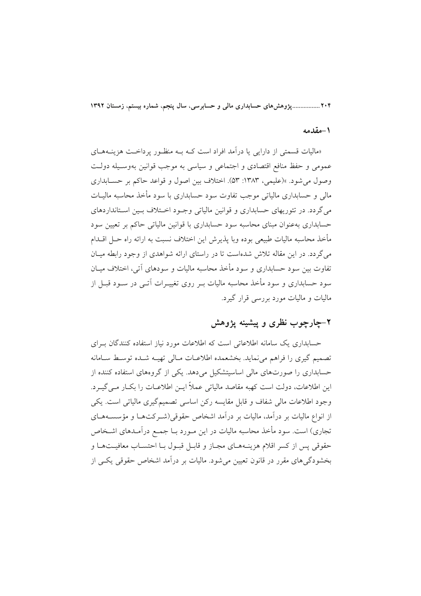۲۰۴ ...................یژوهشهای حسابداری مالی و حسابرسی، سال پنجم، شماره بیستم، زمستان ۱۳۹۲

#### ١-مقدمه

«مالیات قسمتی از دارایی یا درآمد افراد است کــه بــه منظــور پرداخــت هزینــههــای عمومي و حفظ منافع اقتصادي و اجتماعي و سياسي به موجب قوانين بهوسـيله دولـت وصول مي شود. »(عليمي، ١٣٨٣: ۵٣). اختلاف بين اصول و قواعد حاكم بر حسـابداري مالي و حسابداري مالياتي موجب تفاوت سود حسابداري با سود مأخذ محاسبه ماليــات می گردد. در تئوریهای حسابداری و قوانین مالیاتی وجـود اخـتلاف بـین اسـتانداردهای حسابداری بهعنوان مبنای محاسبه سود حسابداری با قوانین مالیاتی حاکم بر تعیین سود مأخذ محاسبه ماليات طبيعي بوده وبا يذيرش اين اختلاف نسبت به ارائه راه حـل اقــدام می گردد. در این مقاله تلاش شدهاست تا در راستای ارائه شواهدی از وجود رابطه میـان تفاوت بین سود حسابداری و سود مأخذ محاسبه مالیات و سودهای آتی، اختلاف میـان سود حسابداری و سود مأخذ محاسبه مالیات بـر روی تغییـرات آتـی در سـود قبـل از مالیات و مالیات مورد بررسی قرار گیرد.

# ۲-جارجوب نظری و پیشینه یژوهش

حسابداری یک سامانه اطلاعاتی است که اطلاعات مورد نیاز استفاده کنندگان به ای تصمیم گیری را فراهم می نماید. بخشعمده اطلاعـات مـالی تهیـه شـده توسـط سـامانه حسابداری را صورتهای مالی اساسیتشکیل می دهد. یکی از گروههای استفاده کننده از اين اطلاعات، دولت است كهبه مقاصد مالياتي عملاً ايــن اطلاعــات را بكــار مــي گيــرد. وجود اطلاعات مالی شفاف و قابل مقایسه رکن اساسی تصمیمگیری مالیاتی است. یکی از انواع مالیات بر درآمد، مالیات بر درآمد اشخاص حقوقی(شـرکتهـا و مؤسسـههـای تجاري) است. سود مأخذ محاسبه ماليات در اين مـورد بــا جمـع درآمــدهاي اشــخاص حقوقي پس از كسر اقلام هزينــههــاي مجــاز و قابــل قبــول بــا احتســاب معافيــتهــا و بخشودگی های مقرر در قانون تعیین می شود. مالیات بر درآمد اشخاص حقوقی یکسی از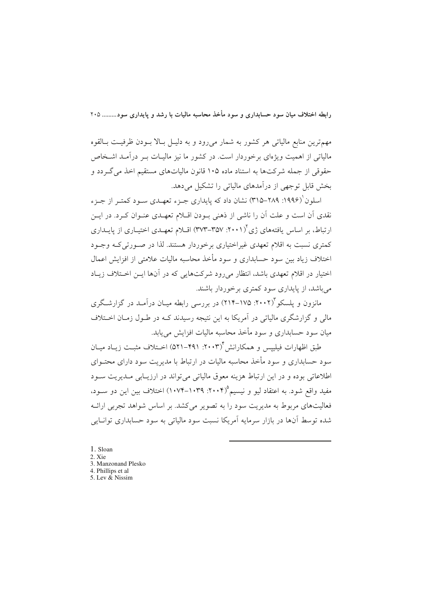مهمترین منابع مالیاتی هر کشور به شمار میرود و به دلیـل بـالا بــودن ظرفیــت بــالقوه مالیاتی از اهمیت ویژهای برخوردار است. در کشور ما نیز مالیـات بــر درآمــد اشــخاص حقوقی از جمله شرکتها به استناد ماده ۱۰۵ قانون مالیاتهای مستقیم اخذ میگردد و بخش قابل توجهی از درآمدهای مالیاتی را تشکیل می دهد.

اسلون ۲/۹۹۶: ۲۸۹–۳۱۵) نشان داد که پایداری جـزء تعهـدي سـود کمتـر از جـزء نقدی آن است و علت آن را ناشی از ذهنی بـودن اقــلام تعهـدی عنــوان کــرد. در ایــن ارتباط، بر اساس یافتههای ژی ۲۰۰۱): ۳۵۷–۳۷۳) اقــلام تعهــدی اختیــاری از پایــداری کمتری نسبت به اقلام تعهدی غیراختیاری برخوردار هستند. لذا در صورتی کـه وجـود اختلاف زياد بين سود حسابداري و سود مأخذ محاسبه ماليات علامتي از افزايش اعمال اختیار در اقلام تعهدی باشد، انتظار میرود شرکتهایی که در آنها ایـن اخـتلاف زیـاد میباشد، از پایداری سود کمتری برخوردار باشند.

مانزون و پلسکو ۲۰۰۲: ۱۷۵–۲۱۴) در بررسی رابطه میـان درآمـد در گزارشـگری مالي و گزارشگري مالياتي در آمريکا به اين نتيجه رسيدند کــه در طــول زمــان اخــتلاف میان سود حسابداری و سود مأخذ محاسبه مالیات افزایش می یابد.

طبق اظهارات فیلیپس و همکارانش ۲۰۰۳): ۴۹۱–۵۲۱) اخـتلاف مثبـت زیـاد میـان سود حسابداری و سود مأخذ محاسبه مالیات در ارتباط با مدیریت سود دارای محتــوای اطلاعاتی بوده و در این ارتباط هزینه معوق مالیاتی می تواند در ارزیـابی مـدیریت سـود مفيد واقع شود. به اعتقاد ليو و نيسيم°(٢٠٠۴: ١٠٣٩-١٠٧۴) اختلاف بين اين دو سـود، فعالیتهای مربوط به مدیریت سود را به تصویر می کشد. بر اساس شواهد تجربی ارائــه شده توسط آنها در بازار سرمايه آمريكا نسبت سود مالياتي به سود حسابداري توانـايي

1. Sloan 2. Xie 3. Manzonand Plesko 4. Phillips et al 5. Lev  $\&$  Nissim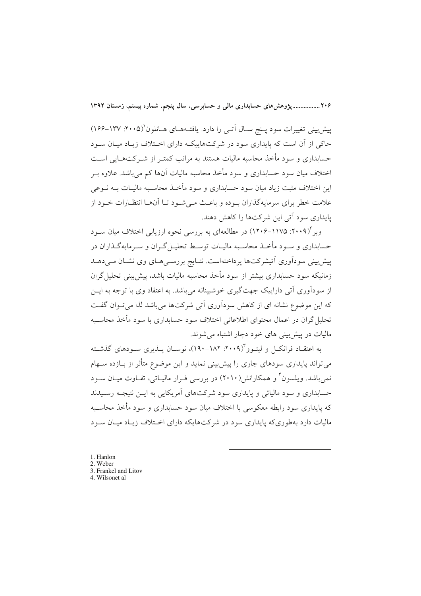۲۰۶ ...................یژوهش های حسابداری مالی و حسابرسی، سال ینجم، شماره بیستم، زمستان ۱۳۹۲

پیش بینی تغییرات سود پـنج سـال اَتـی را دارد. یافتـههـای هـانلون`(۲۰۰۵: ۱۳۷–۱۶۶) حاکی از آن است که پایداری سود در شرکتهاییک دارای اختلاف زیباد میبان سبود حسابداری و سود مأخذ محاسبه مالیات هستند به مراتب کمتـر از شــرکتهــایی اســت اختلاف میان سود حسابداری و سود مأخذ محاسبه مالیات آنها کم می باشد. علاوه بــر این اختلاف مثبت زیاد میان سود حسابداری و سود مأخـذ محاسـبه مالیــات بــه نــوعی علامت خطر برای سرمایهگذاران بوده و باعث می شـود تـا آنهـا انتظـارات خـود از پابداری سود آتی این شرکتها را کاهش دهند.

وبر ۲۰۰۹): ۱۲۰۶–۱۲۰۶) در مطالعهای به بررسی نحوه ارزیابی اختلاف میان سـود حسابداری و سـود مأخـذ محاسـبه مالبـات توسـط تحلبـل گـران و سـرمایهگـذاران در پیش بینی سودآوری آتیشرکتها پرداختهاست. نتـایج بررسـیِهـای وی نشـان مـیِ دهــد زمانیکه سود حسابداری بیشتر از سود مأخذ محاسبه مالیات باشد، پیش بینی تحلیل گران از سودآوری آتی داراییک جهتگیری خوشیبنانه می باشد. به اعتقاد وی با توجه به این که این موضوع نشانه ای از کاهش سودآوری آتی شرکتها می باشد لذا می تـوان گفـت تحلیل گران در اعمال محتوای اطلاعاتی اختلاف سود حسابداری با سود مأخذ محاسـبه ماليات در پيش بينې های خود دچار اشتباه می شوند.

به اعتقـاد فرانکــل و لیتــوو ۲۰۰۹': ۱۸۲–۱۹۰)، نوســان پــذیری ســودهای گذشــته می تواند پایداری سودهای جاری را پیش بینی نماید و این موضوع متأثر از بـازده ســهام نمی باشد. ویلسون ٔ و همکارانش (۲۰۱۰) در بررسی فیرار مالیـاتی، تفـاوت میـان سـود حسابداری و سود مالیاتی و پایداری سود شرکتهای آمریکایی به ایـن نتیجـه رسـیدند که پایداری سود رابطه معکوسی با اختلاف میان سود حسابداری و سود مأخذ محاسـبه مالیات دارد بهطوری که پایداری سود در شرکتهایکه دارای اختلاف زیباد میبان سبود

- 1. Hanlon 2. Weber 3. Frankel and Litov
- 4. Wilsonet al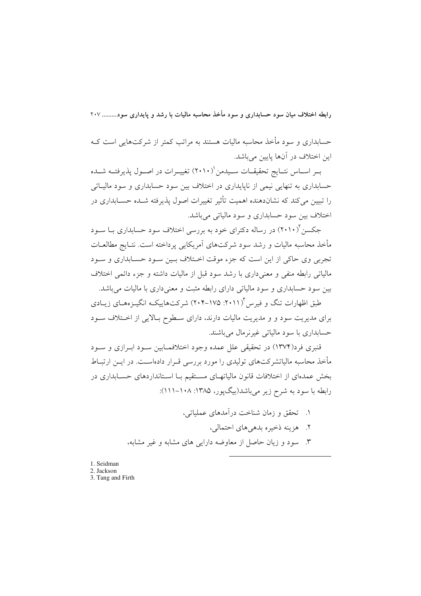حسابداری و سود مأخذ محاسبه مالیات هستند به مراتب کمتر از شرکتهایی است کـه این اختلاف در آنها پایین می باشد.

بـر اســاس نتــايج تحقيقــات ســيدمن`(٢٠١٠) تغييــرات در اصــول يذيرفتــه شــده حسابداری به تنهایی نیمی از ناپایداری در اختلاف بین سود حسابداری و سود مالیـاتی را تبیین می کند که نشاندهنده اهمیت تأثیر تغییرات اصول پذیرفته شـده حسـابداری در اختلاف بين سود حسابداري و سود مالياتي مي باشد.

جکسن ۲۰۱۰) در رساله دکترای خود به بررسی اختلاف سود حسابداری بـا سـود مأخذ محاسبه ماليات و رشد سود شركتهاى آمريكايي يرداخته است. نتـايج مطالعــات تجربي وي حاكي از اين است كه جزء موقت اختلاف پين سود حسيانداري و سيود مالیاتی رابطه منفی و معنیداری با رشد سود قبل از مالیات داشته و جزء دائمی اختلاف بین سود حسابداری و سود مالیاتی دارای رابطه مثبت و معنیداری با مالیات میباشد.

طبق اظهارات تنگ و فیرس ۲۰۱۱)". ۱۷۵–۲۰۴) شرکتهاییکه انگیـز همـای زیـادی برای مدیریت سود و و مدیریت مالیات دارند، دارای سطوح بالایی از اختلاف سـود حسابداري با سود مالياتي غيرنرمال ميباشند.

قنبري فرد(١٣٧۴) در تحقيقي علل عمده وجود اختلافمــابين ســود ابــرازي و ســود مأخذ محاسبه مالیاتشرکتهای تولیدی را مورد بررسی قـرار دادهاسـت. در ایــن ارتبــاط بخش عمدهای از اختلافات قانون مالیاتهـای مسـتقیم بـا اسـتانداردهای حسـایداری در رابطه با سود به شرح زیر می باشد(بیگ یور، ۱۳۸۵: ۱۰۸–۱۱۱۱):

- ۱. تحقق و زمان شناخت درآمدهای عملیاتی، ٢. هزينه ذخيره بدهي هاي احتمالي، ۳. سود و زیان حاصل از معاوضه دارایی های مشابه و غیر مشابه،
- 1. Seidman
- 2. Jackson 3. Tang and Firth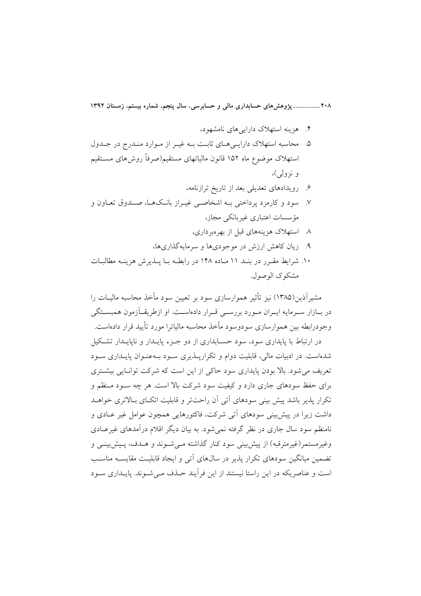۲۰۸ ................. پژوهش های حسابداری مالی و حسابرسی، سال پنجم، شماره بیستم، زمستان ۱۳۹۲

- ۴. هزینه استهلاک دارایی های نامشهود،
- ۵. محاسبه استهلاک دارایه های ثابت بـه غیـر از مـوارد منـدرج در جـدول استهلاک موضوع ماه ۱۵۲ قانون مالیاتهای مستقیم(صرفاً روش۵های مســتقیم و نزولې)،
	- ۶. رویدادهای تعدیلی بعد از تاریخ ترازنامه،
- ۷. ً سود و کارمزد پرداختی بـه اشخاصـی غیــراز بانـکـهـا، صــندوق تعــاون و مؤسسات اعتباری غیربانکی مجاز،
	- ۸. استهلاک هزینههای قبل از بهرهبرداری،
	- ۹. زبان کاهش ارزش در موجودی ها و سرمایه گذاری ها،
- ۱۰. شرایط مقرر در بنـد ۱۱ مـاده ۱۴۸ در رابطـه بـا پـذیرش هزینـه مطالبـات مشكوك الوصول.

مشیرآذین(۱۳۸۵) نیز تأثیر هموارسازی سود بر تعیین سود مأخذ محاسبه مالیــات را در بــازار ســرمايه ايــران مــورد بررســي قــرار دادهاســت. او ازطريقــاَزمون همبســتگي وجو درابطه بين هموارسازي سودوسود مأخذ محاسبه مالياترا مورد تأييد قرار دادهاست.

در ارتباط با پایداری سود، سود حسـابداری از دو جـزء پایــدار و ناپایــدار تشـکیل شدهاست. در ادبیات مالی، قابلیت دوام و تکراریــذیری ســود بــهعنــوان پایــداری ســود تعریف می شود. بالا بودن پایداری سود حاکی از این است که شرکت توانیایی بیشتری برای حفظ سودهای جاری دارد و کیفیت سود شرکت بالا است. هر چه ســود مــنظم و تکرار پذیر باشد پیش بینی سودهای آتی آن راحتتر و قابلیت اتکـای بـالاتری خواهـد داشت زیرا در پیش بینی سودهای آتی شرکت، فاکتورهایی همچون عوامل غیر عــادی و نامنظم سود سال جاری در نظر گرفته نمی شود. به بیان دیگر اقلام درآمدهای غیرعـادی وغیرمستمر(غیرمترقبه) از پیش بینی سود کنار گذاشته مـیشـوند و هــدف، پـیش بینــی و تضمین مبانگین سودهای تکرار یذیر در سالهای آتی و ایجاد قابلیت مقایسـه مناسـب است و عناصریکه در این راستا نیستند از این فرآیند حـذف مـه شـوند. پایـداری سـود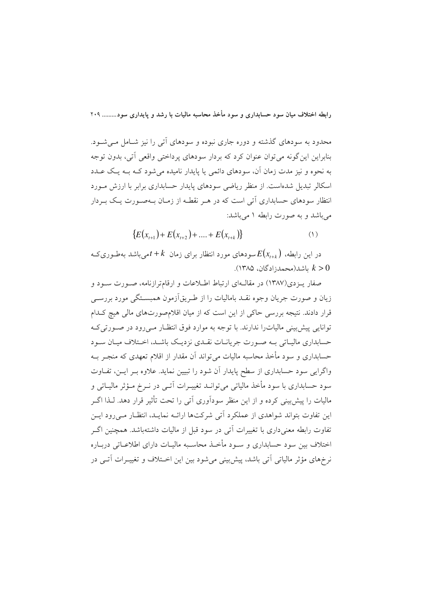محدود به سودهای گذشته و دوره جاری نبوده و سودهای آتی را نیز شـامل مـی شـود. بنايراين اين گونه مي توان عنوان كرد كه بردار سودهاي پرداختي واقعي آتي، بدون توجه به نحوه و نیز مدت زمان آن، سودهای دائمی یا پایدار نامیده می شود کـه بــه یـک عــدد اسکالر تبدیل شدهاست. از منظر ریاضی سودهای پایدار حسابداری برابر با ارزش مـورد انتظار سودهای حسابداری آتی است که در هـر نقطـه از زمـان بـهصـورت یـک بـردار می باشد و به صورت رابطه ۱ می باشد:

$$
\{E(x_{t+1}) + E(x_{t+2}) + \dots + E(x_{t+k})\}
$$
 (1)

در این رابطه،  $E(x_{_{t+k}})$ سودهای مورد انتظار برای زمان  $t+k$ می باشد بهطـوریکـه اشد(محمدزادگان، ۱۳۸۵).  $k > 0$ 

صفار پیزدی(۱۳۸۷) در مقالبهای ارتباط اطلاعات و ارقامترازنامه، صبورت سبود و زیان و صورت جریان وجوه نقــد بامالیات را از طــریق|زمون همبســتگی مورد بررســی قرار دادند. نتیجه بررسی حاکی از این است که از میان اقلامصورتهای مالی هیچ کـدام توانایی پیش بینی مالیات را ندارند. با توجه به موارد فوق انتظـار مـی رود در صـورتی کـه حسابداری مالیـاتی بـه صـورت جریانـات نقـدی نزدیـک باشـد، اخـتلاف میـان سـود حسابداری و سود مأخذ محاسبه مالیات می تواند آن مقدار از اقلام تعهدی که منجـر بـه واگرایی سود حسابداری از سطح پایدار آن شود را تبیین نماید. علاوه بـر ایــن، تفــاوت سود حسابداري با سود مأخذ مالياتي مي توانـد تغييـرات اَتـي در نـرخ مـؤثر ماليـاتي و مالیات را پیش بینی کرده و از این منظر سودآوری آتی را تحت تأثیر قرار دهد. لـذا اگــر این تفاوت بتواند شواهدی از عملکرد آتی شرکتها ارائـه نمایـد، انتظـار مـی رود ایـن تفاوت رابطه معنى داري با تغييرات اّتي در سود قبل از ماليات داشتهباشد. همچنين اگــر اختلاف بين سود حسابداري و سـود مأخـذ محاسـبه ماليــات داراي اطلاعــاتي دربــاره نرخهای مؤثر مالیاتی آتی باشد، پیش بینی می شود بین این اخـتلاف و تغییـرات آتــی در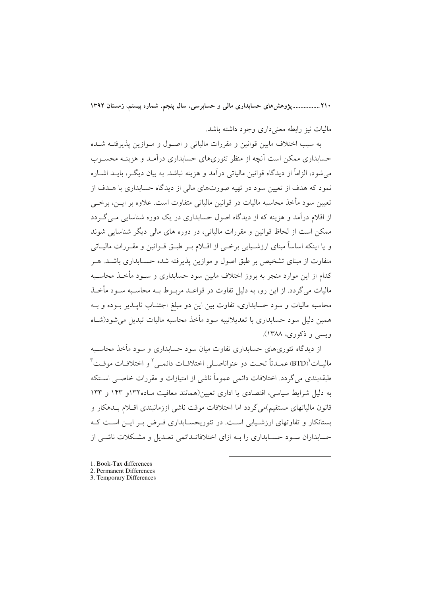۲۱۰ ...................یژوهش های حسابداری مالی و حسابرسی، سال ینجم، شماره بیستم، زمستان ۱۳۹۲

مالیات نیز رابطه معنیداری وجود داشته باشد.

به سبب اختلاف مایین قوانین و مقررات مالیاتی و اصبول و میوازین پذیرفتیه شیده حسابداری ممکن است آنچه از منظر تئوریهای حسابداری درآمـد و هزینـه محسـوب می شود، الزاماً از دیدگاه قوانین مالیاتی درآمد و هزینه نباشد. به بیان دیگـر، بایــد اشــاره نمود که هدف از تعیین سود در تهیه صورتهای مالی از دیدگاه حسابداری با هــدف از تعیین سود مأخذ محاسبه مالیات در قوانین مالیاتی متفاوت است. علاوه بر ایــن، برخــی از اقلام درآمد و هزینه که از دیدگاه اصول حسابداری در یک دوره شناسایی مـی گــردد ممکن است از لحاظ قوانین و مقررات مالیاتی، در دوره های مالی دیگر شناسایی شوند و یا اینکه اساساً مبنای ارزشـیابی برخــی از اقــلام بــر طبــق قــوانین و مقــررات مالیــاتی متفاوت از مبنای تشخیص بر طبق اصول و موازین پذیرفته شده حســابداری باشــد. هــر کدام از این موارد منجر به بروز اختلاف مابین سود حسابداری و سـود مأخـذ محاسـبه ماليات مي گردد. از اين رو، به دليل تفاوت در قواعيد مربيوط بيه محاسبيه سيود مأخيذ محاسبه ماليات و سود حسابداري، تفاوت بين اين دو مبلغ اجتنــاب نايــذير بــوده و بــه همین دلیل سود حسابداری با تعدیلاتیبه سود مأخذ محاسبه مالیات تبدیل می شود(شـاه ويسى و ذكورى، ١٣٨٨).

از دیدگاه تئوریهای حسابداری تفاوت میان سود حسابداری و سود مأخذ محاسـبه ماليـات'(BTD) عمـدتاً تحـت دو عنواناصـلي اختلافـات دائمـي ّ و اختلافـات موقــت ّ طبقهبندی می گردد. اختلافات دائمی عموماً ناشی از امتیازات و مقررات خاصبی اسـتکه به دلیل شرایط سیاسی، اقتصادی یا اداری تعیین(همانند معافیت مـاده۱۳۲و ۱۴۳ و ۱۳۳ قانون مالیاتهای مستقیم)می گردد اما اختلافات موقت ناشی اززمانبندی اقــلام بــدهکار و بستانکار و تفاوتهای ارزشـیابی اسـت. در تئوریحسـابداری فـرض بـر ایـن اسـت کـه حسابداران سـود حسـابداري را بــه ازاي اختلافاتـدائمي تعـديل و مشـكلات ناشــي از

- 1. Book-Tax differences
- 2. Permanent Differences
- 3. Temporary Differences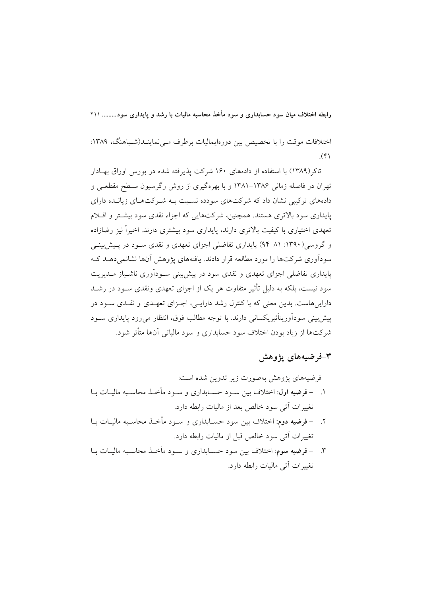اختلافات موقت را با تخصیص بین دورهایمالیات برطرف مـیi۱۳۸۹ شباهنگ، ۱۳۸۹:  $(\mathfrak{F})$ 

تاکر (۱۳۸۹) با استفاده از دادههای ۱۶۰ شرکت پذیرفته شده در بورس اوراق بهـادار تهران در فاصله زمانی ۱۳۸۶–۱۳۸۱ و با بهرهگیری از روش رگرسیون سـطح مقطعـی و دادههای ترکیبی نشان داد که شرکتهای سودده نسبت بـه شـرکتهـای زیانـده دارای پایداری سود بالاتری هستند. همچنین، شرکتهایی که اجزاء نقدی سود بیشتر و اقـلام تعهدی اختیاری با کیفیت بالاتری دارند، پایداری سود بیشتری دارند. اخیراً نیز رضازاده و گروسی(۱۳۹۰: ۸۱–۹۴) پایداری تفاضلی اجزای تعهدی و نقدی سـود در پـیش:پنـی سودآوری شرکتها را مورد مطالعه قرار دادند. یافتههای پژوهش آنها نشانمه رهبد ک پایداری تفاضلی اجزای تعهدی و نقدی سود در پیش بینی سـودآوری ناشـیاز مـدیریت سود نیست، بلکه به دلیل تأثیر متفاوت هر یک از اجزای تعهدی ونقدی سـود در رشــد دارایی هاست. بدین معنی که با کنترل رشد دارایـی، اجـزای تعهـدی و نقـدی سـود در پیش بینی سودآوریتأثیریکسانی دارند. با توجه مطالب فوق، انتظار می رود پایداری سـود شرکتها از زیاد بودن اختلاف سود حسابداری و سود مالیاتی آنها متأثر شود.

# ۳-فرضیههای پژوهش

فرضيههاي يژوهش بهصورت زير تدوين شده است: ١. – فرضيه اول: اختلاف بين سـود حسـابداري و سـود مأخـذ محاسـبه ماليـات بـا تغییرات آتی سود خالص بعد از مالیات رابطه دارد.

- ٢. – فرضيه دوم: اختلاف بين سود حســابداري و ســود مأخــذ محاســبه ماليــات بــا تغییرات آتی سود خالص قبل از مالیات رابطه دارد.
- ٣. – فرضيه سوم: اختلاف بين سود حســابداري و ســود مأخــذ محاســبه ماليــات بــا تغییرات آتی مالیات رابطه دارد.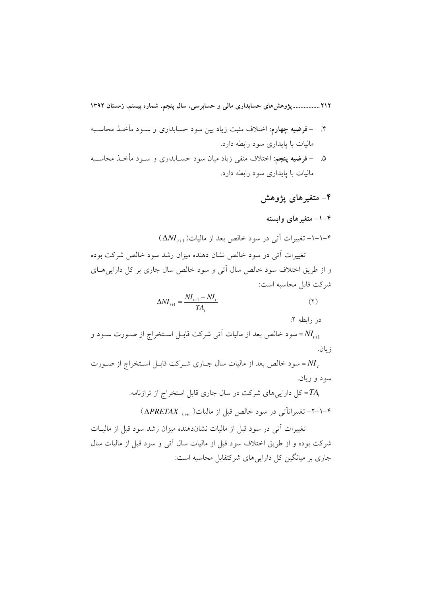٢١٢ ..................يژوهش هاي حسابداري مالي و حسابرسي، سال ينجم، شماره بيستم، زمستان ١٣٩٢

- ۴. – **فرضیه چهارم:** اختلاف مثبت زیاد بین سود حسابداری و سـود مأخـذ محاسـبه ماليات يا پايداري سود رابطه دارد.
- ۵. فرضیه پنجم: اختلاف منفی زیاد میان سود حســابداری و ســود مأخــذ محاســبه مالیات با پایداری سود رابطه دارد.

# ۴– متغیرهای یژوهش

#### ۴–۱– متغیرهای وابسته

 $(\Delta NI_{t+1})$ - تغییرات آتی در سود خالص بعد از مالیات ( ۱۰۰ $-1$ 

تغییرات آتی در سود خالص نشان دهنده میزان رشد سود خالص شرکت بوده و از طریق اختلاف سود خالص سال آتی و سود خالص سال جاری بر کل دارایی هــای شركت قابل محاسبه است:

$$
\Delta NI_{t+1} = \frac{NI_{t+1} - NI_t}{TA_t} \tag{7}
$$

سود خالص بعد از مالیات آتی شرکت قابـل اسـتخراج از صـورت سـود و = $NI_{t+1}$ ز يان.

سود خالص بعد از مالیات سال جـاری شـرکت قابـل اسـتخراج از صـورت = $N\!I_{_t}$ سود و زيان.

> کل داراییهای شرکت در سال جاری قابل استخراج از ترازنامه. = ۰۴–۲–۲ تغییراتاتی در سود خالص قبل از مالیات( ۱٫<sub>۰۱۰۱</sub> APRETAX)

تغییرات آتی در سود قبل از مالیات نشاندهنده میزان رشد سود قبل از مالیـات شرکت بوده و از طریق اختلاف سود قبل از مالیات سال آتی و سود قبل از مالیات سال جاری بر میانگین کل دارایی های شرکتقابل محاسبه است: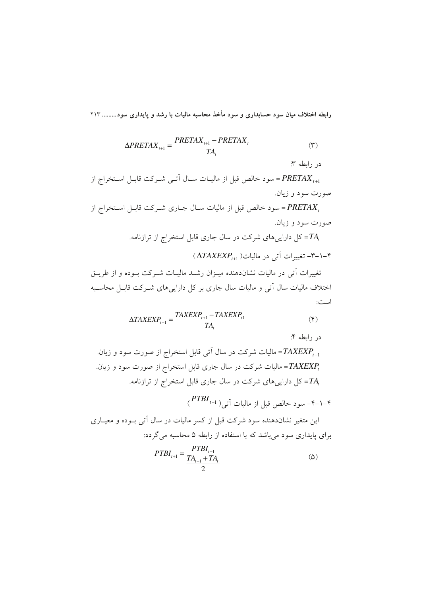$$
\Delta PRETAX_{t+1} = \frac{PRETAX_{t+1} - PRETAX_t}{TA_t}
$$
 (\*)

در رابطه ۳:

سود خالص قبل از ماليـات سـال آتـي شـركت قابـل اسـتخراج از = PRETAX صورت سود و زيان.

سود خالص قبل از مالیات سـال جـاری شـرکت قابـل اسـتخراج از = PRETAX صورت سود و زيان.

کل داراییهای شرکت در سال جاری قابل استخراج از ترازنامه. =

 $(\Delta TAXEXP_{t+1})$ تغییرات آتی در مالیات (۲۰۰۲–۳

تغییرات آتی در مالیات نشاندهنده میـزان رشـد مالیـات شـرکت بـوده و از طریـق اختلاف مالیات سال آتی و مالیات سال جاری بر کل داراییهای شـرکت قابـل محاسـبه است:

$$
\Delta TAXEXP_{t+1} = \frac{TAXEXP_{t+1} - TAXEXP_{t}}{TA_t}
$$
\n
$$
(*)
$$

در رابطه ۴:

 $(PTBI_{t+1})$ سود خالص قبل از مالیات آتی ( ۲۰۰ $^{PTBI_{t+1}}$ 

این متغیر نشاندهنده سود شرکت قبل از کسر مالیات در سال آتی بــوده و معیــاری برای پایداری سود میباشد که با استفاده از رابطه ۵ محاسبه می گردد:

$$
PTBI_{t+1} = \frac{PTBI_{t+1}}{\frac{TA_{t+1} + TA_t}{2}}\tag{2}
$$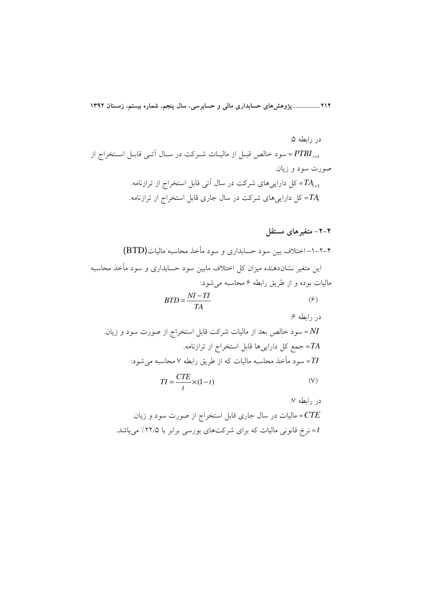۲۱۴ .................پژوهشهای حسابداری مالی و حسابرسی، سال پنجم، شماره بیستم، زمستان ۱۳۹۲

# ۲–۲– متغیرهای مستقل

$$
BTD = \frac{NT - 11}{TA}
$$
 (9)

M =  سود خالص بعد از مالیات شرکت قابل استخراج از صورت  سود و زیان.  
74 = جمع کل داراییها قابل استخراج از ترانطه ۷ محاسبه میشود:  
77 =  سود مأخذ محاسبه مالیات که از طریق رابطه ۷ محاسبه میشود:  
71 = 
$$
\frac{CTE}{t} \times (1-t)
$$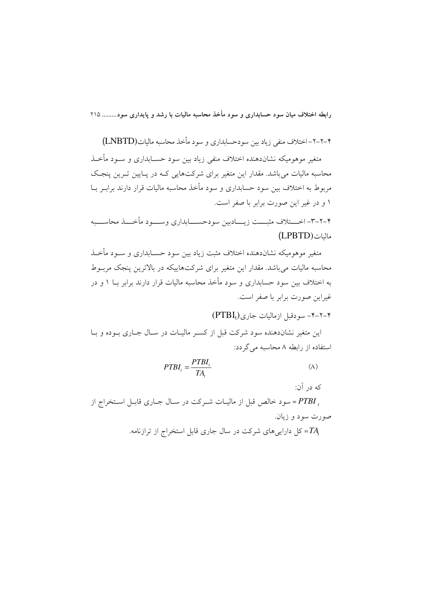۴–۲–۲–اختلاف منفی زیاد بین سودحسابداری و سود مأخذ محاسبه مالیات(LNBTD)

متغیر موهومیکه نشان(دهنده اختلاف منفی زیاد بین سود حسـابداری و سـود مأخـذ محاسبه مالیات میباشد. مقدار این متغیر برای شرکتهایی کـه در پـایین تـرین پنجـک مربوط به اختلاف بین سود حسابداری و سود مأخذ محاسبه مالیات قرار دارند برابــر بــا ۱ و در غیر این صورت برابر با صفر است.

٢-٢-٣- اخــــتلاف مثبـــت زيــــادبين سودحســــابداري وســــود مأخــــذ محاســــبه ماليات (LPBTD)

متغیر موهومیکه نشاندهنده اختلاف مثبت زیاد بین سود حسـابداری و سـود مأخـذ محاسبه مالیات می باشد. مقدار این متغیر برای شرکتهاییکه در بالاترین پنجک مربوط به اختلاف بین سود حسابداری و سود مأخذ محاسبه مالیات قرار دارند برابر بــا ۱ و در غیراین صورت برابر با صفر است.

 $(PTBI_t)_{(2)}$ +-۲- سو دقبل از مالیات جاری $-1$ ۲-۴

این متغیر نشاندهنده سود شرکت قبل از کسـر مالیـات در سـال جـاری بـوده و بـا استفاده از رابطه ۸ محاسبه می گردد:

$$
PTBI_t = \frac{PTBI_t}{TA_t} \tag{A}
$$

که در آن: صورت سود و زيان. کل داراییهای شرکت در سال جاری قابل استخراج از ترازنامه. =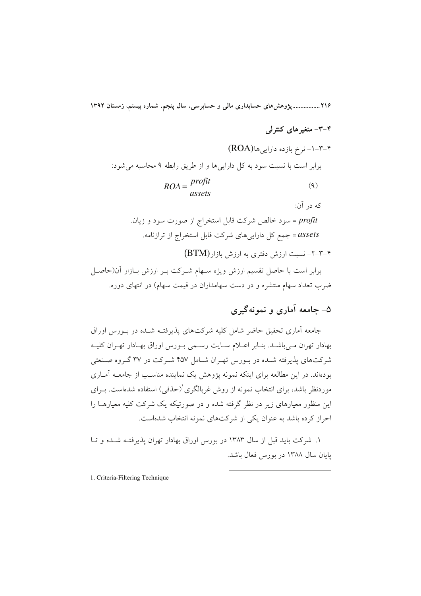٢١۶ ................. پژوهش های حسابداری مالی و حسابرسی، سال پنجم، شماره بیستم، زمستان ١٣٩٢

## ۴-۳- متغیر های کنترلی

۴-۳-۱- نرخ بازده داراییها(ROA) برابر است با نسبت سود به کل دارایی ها و از طریق رابطه ۹ محاسبه می شود:

$$
ROA = \frac{profit}{assets} \tag{4}
$$

که در آن:

profit = سود خالص شرکت قابل استخراج از صورت سود و زیان. assets= جمع کل داراییهای شرکت قابل استخراج از ترازنامه.

۴-۳-۲- نسبت ارزش دفتری به ارزش بازار (BTM)

برابر است با حاصل تقسیم ارزش ویژه سـهام شـرکت بـر ارزش بـازار آن(حاصـل ضرب تعداد سهام منتشره و در دست سهامداران در قیمت سهام) در انتهای دوره.

# ۵- حامعه آماري و نمونه گېري

جامعه آماری تحقیق حاضر شامل کلیه شرکتهای پذیرفتـه شــده در بــورس اوراق بھادار تھران مے باشـد. بنـابر اعـلام سـايت رسـمي بـورس اوراق بھـادار تھـران كليـه شرکتهای پذیرفته شـده در بـورس تهـران شـامل ۴۵۷ شـرکت در ۳۷ گـروه صـنعتی بودهاند. در این مطالعه برای اینکه نمونه یژوهش یک نماینده مناسب از جامعــه آمــاری مور دنظر پاشد، برای انتخاب نمونه از روش غربالگری'(حذفی) استفاده شدهاست. ب ای این منظور معیارهای زیر در نظر گرفته شده و در صورتیکه یک شرکت کلیه معیارهــا را احراز کرده باشد به عنوان یکی از شرکتهای نمونه انتخاب شدهاست.

۱. شركت بايد قبل از سال ۱۳۸۳ در بورس اوراق بهادار تهران يذيرفتـه شـده و تـا یایان سال ۱۳۸۸ در بورس فعال باشد.

1. Criteria-Filtering Technique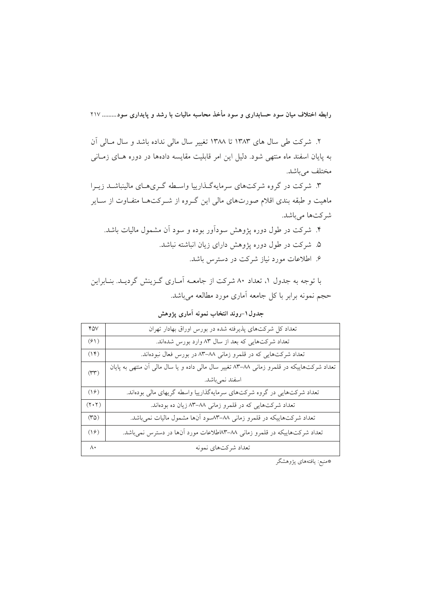۲. شرکت طی سال های ۱۳۸۳ تا ۱۳۸۸ تغییر سال مالی نداده باشد و سال مـالی آن به پایان اسفند ماه منتهی شود. دلیل این امر قابلیت مقایسه دادهها در دوره هــای زمــانی مختلف مي باشد.

۳. شرکت در گروه شرکتهای سرمایهگـذارییا واسـطه گـریهـای مالینباشـد زیـرا ماهیت و طبقه بندی اقلام صورتهای مالی این گـروه از شـرکتهـا متفـاوت از سـایر شركتها مىباشد.

۴. شرکت در طول دوره یژوهش سودآور بوده و سود آن مشمول مالیات باشد. ۵. شرکت در طول دوره پژوهش دارای زیان انباشته نباشد. ۶. اطلاعات مورد نباز شرکت در دسترس باشد.

با توجه به جدول ۱، تعداد ۸۰ شرکت از جامعــه آمــاری گــزینش گردیــد. بنــابراین حجم نمونه برابر با کل جامعه آماری مورد مطالعه میباشد.

| <b>YAV</b>                                 | تعداد کل شرکتهای پذیرفته شده در بورس اوراق بهادار تهران                                   |
|--------------------------------------------|-------------------------------------------------------------------------------------------|
| (51)                                       | تعداد شرکتهایی که بعد از سال ۸۳ وارد بورس شدهاند.                                         |
| (14)                                       | تعداد شرکتهایی که در قلمرو زمانی ۸۸–۸۳ در بورس فعال نبودهاند.                             |
| $(\tau\tau)$                               | تعداد شرکتهاییکه در قلمرو زمانی ۸۸–۸۳ تغییر سال مالی داده و یا سال مالی آن منتهی به پایان |
|                                            | اسفند نمىباشد.                                                                            |
| (19)                                       | تعداد شرکتهایی در گروه شرکتهای سرمایهگذارییا واسطه گریهای مالی بودهاند.                   |
| $(\mathbf{Y}\boldsymbol{\cdot}\mathbf{Y})$ | تعداد شرکتهایی که در قلمرو زمانی ۸۸–۸۳ زیان ده بودهاند.                                   |
| $(\uparrow \uparrow \uparrow)$             | تعداد شرکتهاییکه در قلمرو زمانی ۸۸–۸۳سود آنها مشمول مالیات نمیباشد.                       |
| (19)                                       | تعداد شرکتهاییکه در قلمرو زمانی ۸۸–۱۳تاطلاعات مورد آنها در دسترس نمیباشد.                 |
| $\Lambda$                                  | تعداد شركتهاي نمونه                                                                       |
|                                            |                                                                                           |

جدول١-روند انتخاب نمونه آماري يژوهش

.<br>\*منبع: يافتههاي پژوهشگر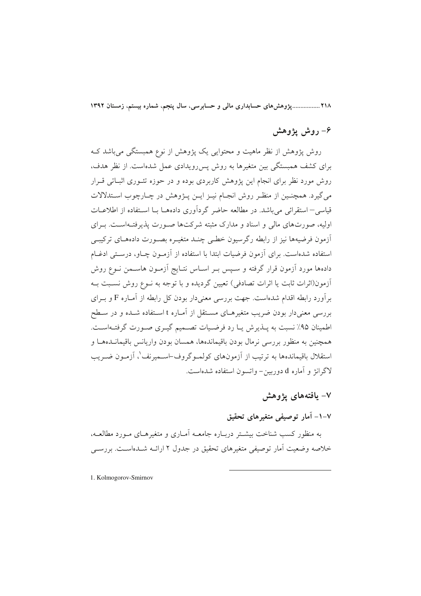۲۱۸ ................. پژوهش های حسابداری مالی و حسابرسی، سال پنجم، شماره بیستم، زمستان ۱۳۹۲

# ۶- روش یژوهش

روش پژوهش از نظر ماهیت و محتوایی یک پژوهش از نوع همبستگی می باشد ک برای کشف همبستگی بین متغیرها به روش پس رویدادی عمل شدهاست. از نظر هدف، روش مورد نظر برای انجام این پژوهش کاربردی بوده و در حوزه تئـوری اثبـاتی قـرار مي گيرد. همچنـين از منظـر روش انجـام نيـز ايـن پـژوهش در چـارچوب اسـتدلالات قیاسی–استقرائی میباشد. در مطالعه حاضر گردآوری دادههـا بـا اسـتفاده از اطلاعــات اولیه، صورتهای مالی و اسناد و مدارک مثبته شرکتها صـورت پذیرفتـهاسـت. بـرای آزمون فرضیهها نیز از رابطه رگرسیون خطبی چنــد متغیــره بصــورت دادههــای ترکیبــی استفاده شدهاست. برای آزمون فرضیات ابتدا با استفاده از آزمـون چـاو، درسـتی ادغـام دادهها مورد آزمون قرار گرفته و سـيس بـر اسـاس نتـايج آزمـون هاسـمن نـوع روش أزمون(اثرات ثابت یا اثرات تصادفی) تعیین گردیده و با توجه به نـوع روش نسـبت بـه بر آورد رابطه اقدام شدهاست. جهت بررسی معنی دار بودن کل رابطه از آمـاره F و بــرای بررسی معنیدار بودن ضریب متغیرهـای مسـتقل از آمـاره t اسـتفاده شـده و در سـطح اطمينان ٩۵٪ نسبت به پــذيرش يــا رد فرضــيات تصــميم گيــرى صــورت گرفتــهاســت. همچنین به منظور بررسی نرمال بودن باقیماندهها، همسان بودن واریانس باقیمانــدهــا و استقلال باقیماندهها به ترتیب از اَزمونهای کولمـوگروف-اسـمیرنف'، اَزمـون ضـریب لاگرانژ و آماره d دوربین- واتسون استفاده شدهاست.

## ۷– یافتههای یژوهش

## ۰۷–۱– آمار توصیفی متغیرهای تحقیق

به منظور کسب شناخت بیشــتر دربــاره جامعــه آمــاری و متغیرهــای مــورد مطالعــه، خلاصه وضعیت آمار توصیفی متغیرهای تحقیق در جدول ۲ ارائـه شــدهاســت. بررســی

1. Kolmogorov-Smirnov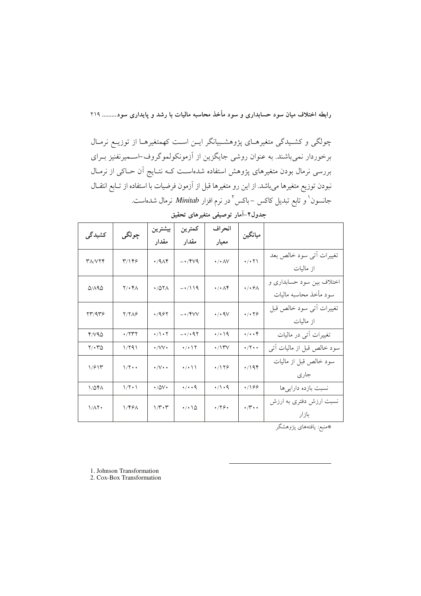چولگی و کشـیدگی متغیرهـای پژوهشـبیانگر ایــن اسـت کهمتغیرهــا از توزیــع نرمــال برخوردار نمیباشند. به عنوان روشی جایگزین از آزمونکولموگروف-اسـمیرنفنیز بــرای بررسی نرمال بودن متغیرهای پژوهش استفاده شدهاست کـه نتـایج اَن حـاکی از نرمـال نبودن توزیع متغیرها میباشد. از این رو متغیرها قبل از آزمون فرضیات با استفاده از تــابع انتقــال جانسون` و تابع تبدیل کاکس −باکس<sup>۲</sup> در نرم افزار *Minitab* نرمال شدهاست.

|               | چولگى                    | بيشترين                       | كمترين                            | انحراف                          | ميانگين                             |                                                     |
|---------------|--------------------------|-------------------------------|-----------------------------------|---------------------------------|-------------------------------------|-----------------------------------------------------|
| کشیدگی        |                          | مقدار                         | مقدار                             | معيار                           |                                     |                                                     |
| <b>TA/VYF</b> | ۳/۱۴۶                    | $\cdot$ /9 $\wedge$ ۴         | $-\cdot$ /۴۷۹                     | $\cdot / \cdot \wedge V$        | $\cdot/\cdot$ $\uparrow\uparrow$    | تغییرات آتی سود خالص بعد<br>از مالیات               |
| 5/195         | $Y/\cdot Y$              | $\cdot$ /07/                  | $-\cdot/119$                      | $\cdot/\cdot\wedge\mathfrak{f}$ | $\cdot$ / $\cdot$ $\theta$ $\wedge$ | اختلاف بين سود حسابداري و<br>سود مأخذ محاسبه ماليات |
| 73793         | $Y/Y\Lambda$ ۶           | .7957                         | $ \cdot$ / $\gamma$ $\vee$ $\vee$ | $\cdot$ / $\cdot$ 9 $\vee$      | $\cdot$ / $\cdot$ $\cdot$ $\cdot$   | تغييرات أتى سود خالص قبل<br>از مالیات               |
| Y/V40         | ۰/۲۳۲                    | $\cdot/\rangle \cdot \gamma$  | $ \cdot$ / $\cdot$ 9.7            | $\cdot/\cdot$ 19                | $\cdot/\cdot\cdot$                  | تغییرات آتی در مالیات                               |
| $Y/\cdot Y$ ۵ | 1/791                    | $\cdot$ /VV $\cdot$           | $\cdot$ / $\cdot$ \ $\Upsilon$    | $\cdot$ /۱۳۷                    | $\cdot$ /۲ $\cdot$                  | سود خالص قبل از مالیات آتی                          |
| ۱/۶۱۳         | $1/\Upsilon \cdot \cdot$ | $\cdot/\vee\cdot\cdot$        | $\cdot$ / $\cdot$ \ \             | $\cdot$ /128                    | $\cdot$ /194                        | سود خالص قبل از ماليات<br>جارى                      |
| 1/041         | $1/\Upsilon \cdot 1$     | $\cdot$ /0V $\cdot$           | $\cdot/\cdot\cdot$ 9              | $\cdot/\cdot$ 9                 | .799                                | نسبت بازده داراييها                                 |
| $1/\lambda$   | ۱/۴۶۸                    | $1/\mathbf{r}\cdot\mathbf{r}$ | $\cdot$ / $\cdot$ / $\circ$       | $\cdot$ /۲۶ $\cdot$             | $\cdot \wedge \cdot \cdot$          | نسبت ارزش دفتری به ارزش<br>بازار                    |

جدول۲-آمار توصیفی متغیرهای تحقیق

.<br>\*منبع: یافتههای پژوهشگر

1. Johnson Transformation

2. Cox-Box Transformation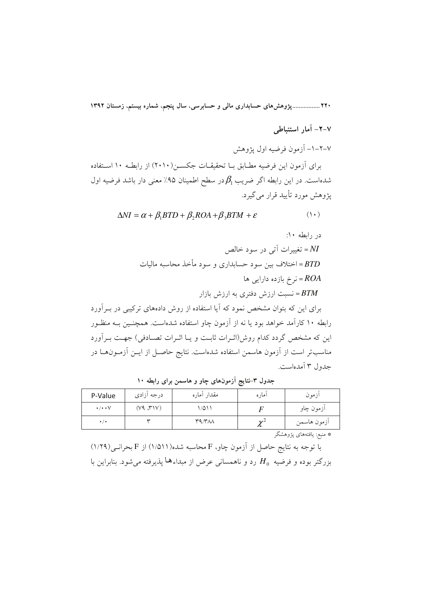۲۲۰ ....................وژوهشهای حسابداری مالی و حسابرسی، سال ینجم، شماره بیستم، زمستان ۱۳۹۲ ۷-۲- آمار استنباط

۷–۲–۱– آزمون فرضیه اول پژوهش

برای آزمون این فرضیه مطـابق بـا تحقیقـات جکســن(۲۰۱۰) از رابطــه ۱۰ اســتفاده شدهاست. در این رابطه اگر ضریب  $\beta_1$ در سطح اطمینان ۹۵٪ معنی دار باشد فرضیه اول یژوهش مورد تأیید قرار می گیرد.

$$
\Delta NI = \alpha + \beta_1 BTD + \beta_2 ROA + \beta_3 BTM + \varepsilon \tag{1}
$$

در رابطه ۱۰: تغییرات آتی در سود خالص اختلاف بین سود حسابداری و سود مأخذ محاسبه مالیات $BTD$ نرخ بازده دارایی ها $\overline{ROA}$ خسیت ارزش دفتری به ارزش بازار = $BTM$ برای این که بتوان مشخص نمود که آیا استفاده از روش دادههای ترکیبی در بـرآورد

رابطه ۱۰ کارآمد خواهد بود یا نه از آزمون چاو استفاده شدهاست. همچنـین بــه منظـور این که مشخص گردد کدام روش(اثـرات ثابـت و یـا اثـرات تصـادفی) جهـت بـرآورد مناسبتر است از آزمون هاسمن استفاده شدهاست. نتایج حاصـل از ایــن آزمــونهــا در جدول ۳ آمدهاست.

| P-Value                   | درجه أزادي | مقدار أماره                                            | ا مار ه | ازمون       |
|---------------------------|------------|--------------------------------------------------------|---------|-------------|
| $\cdot/\cdot\cdot$ $\vee$ | (V4, Y)    | 1/011                                                  |         | ازمون چاو   |
| $\ddot{\phantom{0}}$      | سد         | $\mathsf{r}\mathsf{q}\wedge\mathsf{r}\wedge\mathsf{r}$ | $\sim$  | ازمون هاسمن |

جدول ۳-نتایج آزمونهای چاو و هاسمن برای رابطه ۱۰

\* منبع: يافتههاي پژوهشگر

با توجه به نتايج حاصل از آزمون چاو، F محاسبه شده(۱/۵۱۱) از F بحرانــي(۱/۲۹) بزرگتر بوده و فرضیه  $H_0$  رد و ناهمسانی عرض از مبداءها پذیرفته می شود. بنابراین با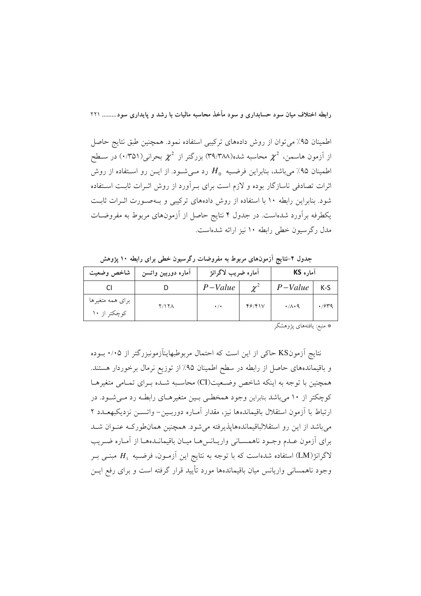اطمینان ۹۵٪ می توان از روش دادههای ترکیبی استفاده نمود. همچنین طبق نتایج حاصل از آزمون هاسمن،  $\chi^2$  محاسبه شده(۳۹/۳۸۸) بزرگتر از  $\chi^2$  بحرانی(۰/۳۵۱) در سـطح اطمینان ۹۵٪ میباشد، بنابراین فرضـیه  $H_0$  رد مـیشـود. از ایــن رو اســتفاده از روش اثرات تصادفی ناسازگار بوده و لازم است برای بـرآورد از روش اثـرات ثابـت اسـتفاده شود. بنابراین رابطه ۱۰ با استفاده از روش دادههای ترکیبی و بـهصـورت اثـرات ثابـت یکطرفه برآورد شدهاست. در جدول ۴ نتایج حاصل از آزمونهای مربوط به مفروضـات مدل رگرسیون خطی رابطه ۱۰ نیز ارائه شدهاست.

جدول ۴-نتایج آزمونهای مربوط به مفروضات رگرسیون خطی برای رابطه ۱۰ پژوهش

| شاخص وضعيت                       | اماره دوربین واتسن | آماره ضريب لاگرانژ |        | آماره KS               |              |
|----------------------------------|--------------------|--------------------|--------|------------------------|--------------|
|                                  |                    | $P-Value$          |        | $P-Value$              | $K-S$        |
| براي همه متغيرها<br>کوچکتر از ۱۰ | $Y/Y\Lambda$       | $\cdot/$           | 49/41V | $\cdot/\Lambda\cdot$ 9 | $\cdot$ /۶۳۹ |

\* منبع: يافتههاى پژوهشگر

نتايج آزمونKS حاكي از اين است كه احتمال مربوطبهاينآزمونبزرگتر از ۰/۰۵ بـوده و باقیماندههای حاصل از رابطه در سطح اطمینان ۹۵٪ از توزیع نرمال برخوردار هستند. همچنین با توجه به اینکه شاخص وضعیت(CI) محاسبه شـده بـرای تمـامی متغیرهـا کوچکتر از ۱۰ میباشد بنابراین وجود همخطـی بـین متغیرهـای رابطـه رد مـیشـود. در ارتباط با آزمون استقلال باقیماندهها نیز، مقدار آمـاره دوربـین- واتسـن نزدیکبهعـدد ۲ می باشد از این رو استقلالباقیماندههایذیرفته می شود. همچنین همانطورک عنوان شد براي أزمون عـدم وجـود ناهمسـاني واريـانس١هـا ميـان باقيمانـدههـا از أمـاره ضـريب لاگرانژ $(\rm LM)$  استفاده شدهاست که با توجه به نتایج این اَزمـون، فرضـیه  $H_1$  مبنـی بـر وجود ناهمسانی واریانس میان باقیماندهها مورد تأیید قرار گرفته است و برای رفع ایــن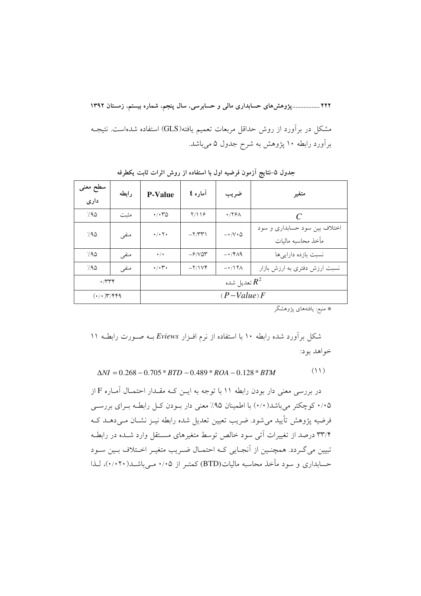٢٢٢ ................. پژوهشهای حسابداری مالی و حسابرسی، سال پنجم، شماره بیستم، زمستان ١٣٩٢ مشکل در برآورد از روش حداقل مربعات تعمیم یافته(GLS) استفاده شدهاست. نتیجــه برآورد رابطه ۱۰ پژوهش به شرح جدول ۵ میباشد.

| سطح معنى<br>داری                       | رابطه | <b>P-Value</b>                    | آماره t               | ضريب                               | متغير                                               |  |
|----------------------------------------|-------|-----------------------------------|-----------------------|------------------------------------|-----------------------------------------------------|--|
| 7.90                                   | مثىت  | $\cdot$ / $\cdot$ $\cdot$ $\circ$ | Y/19                  | $\cdot$ /۲۶۸                       | C                                                   |  |
| 7.90                                   | منفي  | $\cdot/\cdot$ $\cdot$             | $-\frac{1}{\sqrt{2}}$ | $ \cdot$ / $\vee$ $\cdot$ $\Delta$ | اختلاف بين سود حسابداري و سود<br>مأخذ محاسبه ماليات |  |
| 7.90                                   | منفى  | $\cdot/\cdot$                     | $-9/10r$              | $- \cdot$ /۴ $\Lambda$ ۹           | نسبت بازده دارایی ها                                |  |
| 7.90                                   | منفي  | $\cdot/\cdot$ $\check{r}$         | $-Y/IVY$              | $-\cdot/17\Lambda$                 | نسبت ارزش دفتری به ارزش بازار                       |  |
| $\cdot$ $\pi r$                        |       | تعديل شده $\,R^2$                 |                       |                                    |                                                     |  |
| $(*/*)^{\prime\prime}/^{\prime\prime}$ |       | $(P-Value)F$                      |                       |                                    |                                                     |  |

جدول ۵-نتایج آزمون فرضیه اول با استفاده از روش اثرات ثابت یکطرفه

\* منبع: يافتههاي پژوهشگر

 $(11)$  $\Delta NI = 0.268 - 0.705 * BTD - 0.489 * ROA - 0.128 * BTM$ 

در بررسی معنی دار بودن رابطه ۱۱ با توجه به ایـن کـه مقـدار احتمـال آمـاره F از ۰/۰۵ کوچکتر می باشد(۰/۰) با اطمینان ۹۵٪ معنی دار بـودن کـل رابطـه بـرای بررسـی فرضیه پژوهش تأیید میشود. ضریب تعیین تعدیل شده رابطه نیـز نشـان مـیدهــد کــه ۳۳/۴ درصد از تغییرات آتی سود خالص توسط متغیرهای مستقل وارد شـده در رابطـه تبیین میگردد. همچنـین از آنجـایی کـه احتمـال ضـریب متغیـر اخـتلاف بـین سـود حسابداری و سود مأخذ محاسبه مالیات(BTD) کمتـر از ۰/۰۵ مـی باشــد(۰/۰۲۰)، لـذا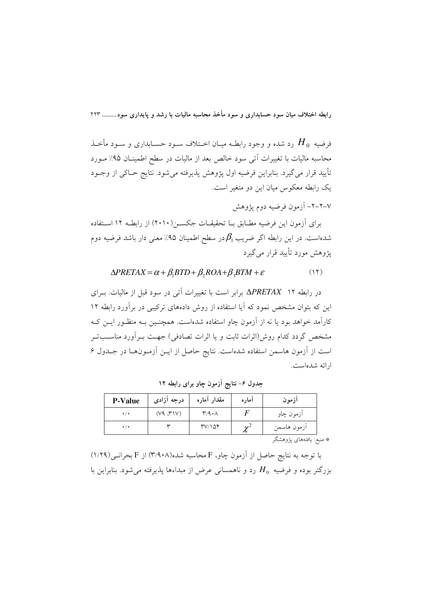فرضيه  $H_0$  رد شده و وجود رابطـه ميـان اخــتلاف سـود حسـابداري و سـود مأخــذ محاسبه مالیات با تغییرات آتی سود خالص بعد از مالیات در سطح اطمینـان ۹۵٪ مـورد تأیید قرار می گیرد. بنابراین فرضیه اول پژوهش پذیرفته میشود. نتایج حــاکی از وجــود یک رابطه معکوس میان این دو متغیر است.

٧–٢–٢– آزمون فرضيه دوم يژوهش

براي أزمون اين فرضيه مطـابق بــا تحقيقــات جكســن(٢٠١٠) از رابطــه ١٢ اســتفاده شدهاست. در این رابطه اگر ضریب  $\beta_1$ در سطح اطمینان ۹۵٪ معنی دار باشد فرضیه دوم یژوهش مورد تأیید قرار می گیرد

#### $\triangle PRETAX = \alpha + \beta_1 BTD + \beta_2 ROA + \beta_3 BTM + \varepsilon$  $(11)$

در رابطه ۱۲ APRETAX برابر است با تغییرات آتی در سود قبل از مالیات. به ای این که بتوان مشخص نمود که آیا استفاده از روش دادههای ترکیبی در برآورد رابطه ۱۲ کارآمد خواهد بود یا نه از آزمون چاو استفاده شدهاست. همچنــبن بـه منظـور ایــن کــه مشخص گردد کدام روش(اثرات ثابت و یا اثرات تصادفی) جهـت بــرآورد مناســبتــر است از آزمون هاسمن استفاده شدهاست. نتایج حاصل از ایـن آزمـونهـا در جـدول ۶ ار ائه شدهاست.

| <b>P-Value</b>       | درجه أزادي | مقدار أماره                                  | اماره      | ازمون       |
|----------------------|------------|----------------------------------------------|------------|-------------|
| $\cdot$ / $\cdot$    | (VY, Y'Y)  | $\mathsf{r}/\mathsf{q}\cdot\mathsf{\Lambda}$ |            | ازمون چاو   |
| $\ddot{\phantom{0}}$ |            | TV/10Y                                       | $\gamma^2$ | ازمون هاسمن |

جدول ۶- نتایج آزمون چاو برای رابطه ۱۲

\* منبع: يافتههاي پژوهشگر

با توجه به نتايج حاصل از آزمون چاو، F محاسبه شده(۳/۹۰۸) از F بحرانـی(۱/۲۹) بزرگتر بوده و فرضیه  $H_0$  رد و ناهمسانی عرض از مبداءها پذیرفته می شود. بنابراین با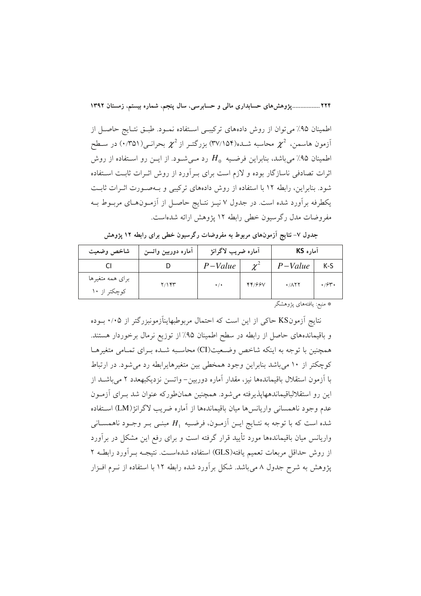۲۲۴ ...................یژوهشهای حسابداری مالی و حسابرسی، سال پنجم، شماره بیستم، زمستان ۱۳۹۲

اطمینان ۹۵٪ میتوان از روش دادههای ترکیبے استفاده نمـود. طبـق نتـایج حاصـل از آزمون هاسمن،  $\chi^2$  محاسبه شــده(۱۵۴/۱۵۴) بزرگتـر از  $\chi^2$  بحرانـی(۰/۳۵۱) در ســطح اطمینان ۹۵٪ می باشد، بنابراین فرضـیه  $H_0$  رد مـی شـود. از ایــن رو اسـتفاده از روش اثرات تصادفی ناسازگار بوده و لازم است برای بـرآورد از روش اثـرات ثابـت اسـتفاده شود. بنابراین، رابطه ۱۲ با استفاده از روش دادههای ترکیبی و بـهصـورت اثـرات ثابـت یکطرفه برآورد شده است. در جدول ۷ نیـز نتـایج حاصـل از آزمـونهـای مربـوط بـه مفروضات مدل رگرسیون خطی رابطه ۱۲ یژوهش ارائه شدهاست.

| شاخص وضعيت                       | آماره دوربين واتسن | آماره ضريب لاگرانژ |            | آماره KS                             |              |  |
|----------------------------------|--------------------|--------------------|------------|--------------------------------------|--------------|--|
|                                  |                    | $P-Value$          | $\gamma^2$ | $P-Value$                            | K-S          |  |
| برای همه متغیرها<br>کوچکتر از ۱۰ | Y/YYY              | $\cdot/$           | 44/66V     | $\cdot$ / $\wedge$ $\wedge$ $\wedge$ | $\cdot$ /۶۳. |  |
| الغجار والمستملة المتنبية كالمحا |                    |                    |            |                                      |              |  |

جدول ۷– نتایج آزمونهای مربوط به مفروضات رگرسیون خطی برای رابطه ۱۲ پژوهش

\* منبع: یافتههای پژوهشگر

نتايج اّزمونKS حاكي از اين است كه احتمال مربوطبهاينآزمونبزرگتر از ۰/۰۵ بـوده و باقیماندههای حاصل از رابطه در سطح اطمینان ۹۵٪ از توزیع نرمال برخوردار هستند. همچنین با توجه به اینکه شاخص وضعیت(CI) محاسبه شـده بـرای تمـامی متغیرهـا کوچکتر از ۱۰ میباشد بنابراین وجود همخطی بین متغیرهایرابطه رد می شود. در ارتباط با آزمون استقلال باقیماندهها نیز، مقدار آماره دوربین– واتسن نزدیکبهعدد ۲ میباشــد از این رو استقلالباقیماندههایذیرفته می شود. همچنین همانطورکه عنوان شد بـرای اَزمـون عدم وجود ناهمساني واريانس ها ميان باقيماندهها از آماره ضريب لاگرانژ(LM) اسـتفاده شده است که با توجه به نتـايج ايــن اَزمــون، فرضـيه  $H_1$  مبنــي بــر وجــود ناهمســانـي واریانس میان باقیماندهها مورد تأیید قرار گرفته است و برای رفع این مشکل در برآورد از روش حداقل مربعات تعميم يافته(GLS) استفاده شدهاسـت. نتيجـه بــرآورد رابطــه ٢ پژوهش به شرح جدول ۸ میباشد. شکل برآورد شده رابطه ۱۲ با استفاده از نــرم افــزار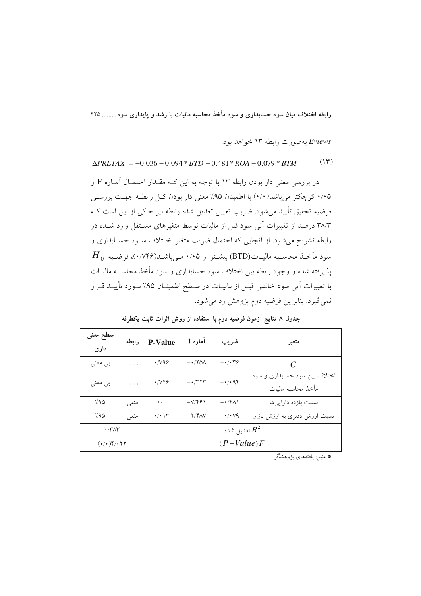Eviews بهصورت رابطه ١٣ خواهد بود:

 $(14)$  $\triangle PRETAX = -0.036 - 0.094 * BTD - 0.481 * ROA - 0.079 * BTM$ 

در بررسی معنی دار بودن رابطه ۱۳ با توجه به این کـه مقــدار احتمــال آمــاره F از ۰/۰۵ کوچکتر میباشد(۰/۰) با اطمینان ۹۵٪ معنی دار بودن کـل رابطـه جهـت بررســی فرضيه تحقيق تأييد مي شود. ضريب تعيين تعديل شده رابطه نيز حاكي از اين است كــه ۳۸/۳ درصد از تغییرات آتی سود قبل از مالیات توسط متغیرهای مسـتقل وارد شـده در رابطه تشریح میشود. از آنجایی که احتمال ضریب متغیر اخـتلاف سـود حسـابداری و  $H_0$  سود مأخـذ محاسـبه ماليــات(BTD) بيشــتر از ۰/۰۵ مـىباشــد(۰/۷۴۶)، فرضـيه يذيرفته شده و وجود رابطه بين اختلاف سود حسابداري و سود مأخذ محاسـبه ماليــات با تغییرات اّتی سود خالص قبــل از مالیــات در ســطح اطمینــان ۹۵٪ مــورد تأییــد قــرار نمي گيرد. بنابراين فرضيه دوم پژوهش رد مي شود.

| سطح معنى<br>داری      | رابطه    | <b>P-Value</b>               | آماره t                                   | ضريب                        | متغير                                               |  |
|-----------------------|----------|------------------------------|-------------------------------------------|-----------------------------|-----------------------------------------------------|--|
| بی معنی               | .        | $\cdot$ /v98                 | $ \cdot$ $/$ $\uparrow$ $\Delta$ $\wedge$ | $-$ ./.۳۶                   | C                                                   |  |
| بی معنی               | $\ldots$ | $\cdot$ / $V$ ۴۶             | $- \cdot 777$                             | $-1.44$                     | اختلاف بین سود حسابداری و سود<br>مأخذ محاسبه ماليات |  |
| 7.90                  | منفى     | $\cdot/$                     | $-V/891$                                  | $-\cdot$ /۴۸۱               | نسبت بازده دارایی ها                                |  |
| 7.90                  | منفي     | $\cdot$ / $\cdot$ $\uparrow$ | $-Y/Y$                                    | $ \cdot$ / $\cdot$ $\vee$ 9 | نسبت ارزش دفتری به ارزش بازار                       |  |
| $\cdot$ /۳ $\wedge$ ۳ |          | تعديل شده $\,R^{\,2}\,$      |                                           |                             |                                                     |  |
| $(*/*)$ ۴/•۲۲         |          | $(P-Value)F$                 |                                           |                             |                                                     |  |

جدول ۸-نتایج آزمون فرضیه دوم با استفاده از روش اثرات ثابت یکطرفه

\* منبع: يافتههاي پژوهشگر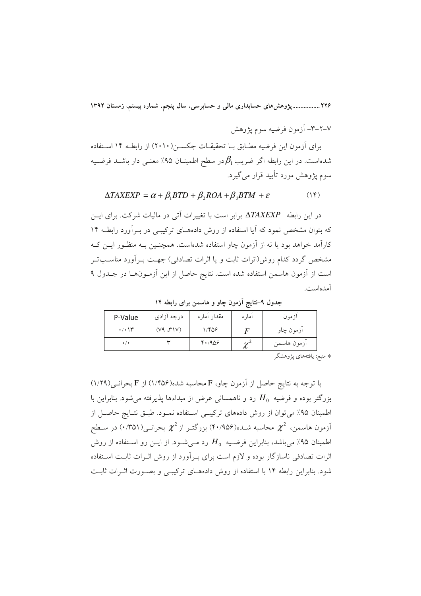٢٢۶ ................. پژوهش های حسابداری مالی و حسابرسی، سال پنجم، شماره بیستم، زمستان ١٣٩٢

٢–٢–٣– اَزمون فرضيه سوم يژوهش

براي آزمون اين فرضيه مطـابق بــا تحقيقــات جكســن(٢٠١٠) از رابطــه ١۴ اســتفاده شدهاست. در این رابطه اگر ضریب  $\beta_1$ در سطح اطمینــان ۹۵٪ معنــی دار باشــد فرضــیه سوم يژوهش مورد تأييد قرار مي گيرد.

 $\Delta TAXEXP = \alpha + \beta_1 BTD + \beta_2 ROA + \beta_3 BTM + \varepsilon$  $(14)$ 

در این رابطه ATAXEXP برابر است با تغییرات آتی در مالیات شرکت. برای ایس که بتوان مشخص نمود که آیا استفاده از روش دادههـای ترکیبـی در بـرآورد رابطـه ۱۴ کارآمد خواهد بود یا نه از آزمون چاو استفاده شدهاست. همچنـین بــه منظـور ایــن کــه مشخص گردد کدام روش(اثرات ثابت و یا اثرات تصادفی) جهـت بــرآورد مناســبتــر است از آزمون هاسمن استفاده شده است. نتایج حاصل از این آزمـونهـا در جـدول ۹ آمدهاست.

مقدار آماره درجه آزادي أماره أزمون P-Value  $(V4, Y)$  $\cdot/\cdot$  \  $\uparrow$  $1/409$ آزمون چاو  $\overline{F}$  $\chi^2$  $\cdot/$  $\mathbf{\breve{r}}$  $4.1909$ أزمون هاسمن

جدول ۹-نتایج آزمون چاو و هاسمن برای رابطه ۱۴

\* منبع: یافتههای یژوهشگر

با توجه به نتايج حاصل از آزمون چاو، F محاسبه شده(۱/۴۵۶) از F بحرانـی(۱/۲۹) بزرگتر بوده و فرضیه  $H_{0}$  رد و ناهمسانی عرض از مبداءها پذیرفته میشود. بنابراین با اطمینان ۹۵٪ می توان از روش دادههای ترکیبے استفاده نمـود. طبـق نتـایج حاصـل از آزمون هاسمن،  $\chi^2$  محاسبه شــده(۱۹۵۶) بزرگتـر از  $\chi^2$  بحرانـی(۱۳۵۱) در ســطح اطمینان ۹۵٪ می باشد، بنابراین فرضـیه  $H_0$  رد مـی شـود. از ایــن رو اسـتفاده از روش اثرات تصادفی ناسازگار بوده و لازم است برای بـرآورد از روش اثـرات ثابـت اسـتفاده شود. بنابراین رابطه ۱۴ با استفاده از روش دادههـای ترکیبـی و بصـورت اثـرات ثابـت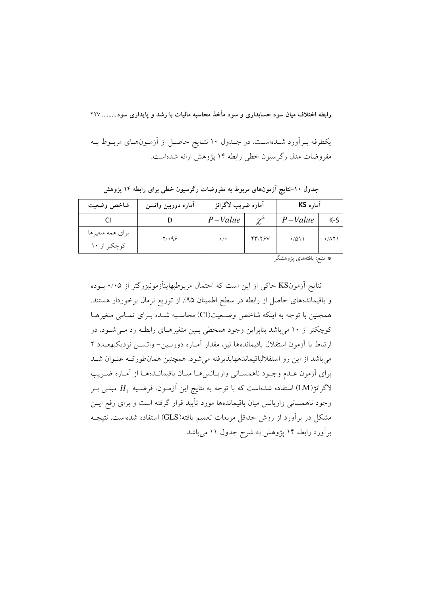یکطرفه بـرآورد شـدهاسـت. در جـدول ۱۰ نتـایج حاصـل از آزمـونهـای مربـوط بـه مفروضات مدل رگرسیون خطی رابطه ۱۴ پژوهش ارائه شدهاست.

| شاخص وضعيت                       | اماره دوربین واتسن | أماره ضريب لاگرانژ |            | آماره KS  |                       |
|----------------------------------|--------------------|--------------------|------------|-----------|-----------------------|
|                                  |                    | $P-Value$          | $\gamma^2$ | $P-Value$ | $K-S$                 |
| برای همه متغیرها<br>کوچکتر از ۱۰ | $Y \cdot 99$       | $\cdot$ / $\cdot$  | YY/79V     | ۱۱۵۰۰     | $\cdot$ / $\wedge$ ۲۱ |

جدول ۱۰-نتایج آزمونهای مربوط به مفروضات رگرسیون خطی برای رابطه ۱۴ یژوهش

\* منبع: يافتههاى پژوهشگر

نتايج آزمونKS حاكي از اين است كه احتمال مربوطبهاينآزمونبزرگتر از ۰/۰۵ بـوده و باقیماندههای حاصل از رابطه در سطح اطمینان ۹۵٪ از توزیع نرمال برخوردار هستند. همچنین با توجه به اینکه شاخص وضعیت(CI) محاسبه شـده بـرای تمـامی متغیرهـا کوچکتر از ۱۰ می باشد بنابراین وجود همخطی بسین متغیرهـای رابطـه رد مـی شـود. در ارتباط با آزمون استقلال باقیماندهها نیز، مقدار آمـاره دوربـین- واتسـن نزدیکبهعـدد ۲ میباشد از این رو استقلالباقیماندههاپذیرفته میشود. همچنین همانطورکـه عنـوان شـد براي أزمون عـدم وجـود ناهمسـاني واريـانس١هـا ميـان باقيمانـدههـا از أمـاره ضـريب لاگرانژ $(\rm LM)$  استفاده شدهاست که با توجه به نتایج این آزمـون، فرضـیه  $H_1$  مبنــی بــر وجود ناهمسانی واریانس میان باقیماندهها مورد تأیید قرار گرفته است و برای رفع ایــن مشکل در برآورد از روش حداقل مربعات تعمیم یافته(GLS) استفاده شدهاست. نتیجــه برآورد رابطه ۱۴ پژوهش به شرح جدول ۱۱ میباشد.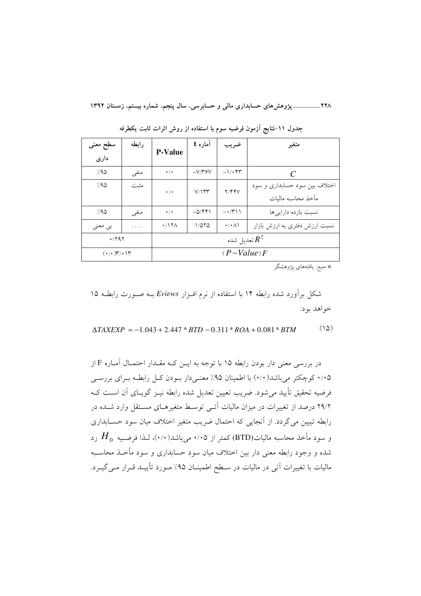۲۲۸ ................. پژوهشهای حسابداری مالی و حسابرسی، سال پنجم، شماره بیستم، زمستان ۱۳۹۲

| سطح معنى              | رابطه      |                       | آماره t                   | ضريب                      | متغير                         |  |
|-----------------------|------------|-----------------------|---------------------------|---------------------------|-------------------------------|--|
| داری                  |            | <b>P-Value</b>        |                           |                           |                               |  |
| 7.90                  | منفى       | $\cdot/$              | $-V$ /۳۶۷                 | $-1/4$                    | C                             |  |
| 7.90                  | مثبت       | $\cdot/\cdot$         | V/YY                      | Y/YYV                     | اختلاف بین سود حسابداری و سود |  |
|                       |            |                       |                           |                           | مأخذ محاسبه ماليات            |  |
| 7.90                  | منفى       | $\cdot/\cdot$         | $-\Delta/\mathfrak{r}$ ۴۱ | $-\cdot$ / $\uparrow$ \ \ | نسبت بازده دارایی ها          |  |
| بی معنی               | $\cdots$ . | $\cdot$ /17 $\Lambda$ | 1/070                     | $\cdot/\cdot$ $\wedge$ \  | نسبت ارزش دفتری به ارزش بازار |  |
| $\cdot$ $797$         |            | تعديل شده $\,R^2$     |                           |                           |                               |  |
| $(\cdot/\cdot)$ ۳/۰۱۳ |            |                       |                           | $(P-Value)F$              |                               |  |

جدول ۱۱-نتایج آزمون فرضیه سوم با استفاده از روش اثرات ثابت یکطرفه

\* منبع: يافتههاي پژوهشگر

شکل بر آورد شده رابطه ۱۴ با استفاده از نرم افـزار Eviews بـه صـورت رابطـه ۱۵ خواهد بود:

 $(10)$  $\Delta TAXEXP = -1.043 + 2.447 * BTD - 0.311 * ROA + 0.081 * BTM$ 

در بررسی معنی دار بودن رابطه ۱۵ با توجه به ایــن کــه مقــدار احتمــال آمــاره F از ۰/۰۵ کوچکتر می باشد(۰/۰) با اطمینان ۹۵٪ معنـیدار بـودن کـل رابطـه بـرای بررسـی فرضیه تحقیق تأیید میشود. ضریب تعیین تعدیل شده رابطه نیــز گویــای آن اســت کــه ۲۹/۲ درصد از تغییرات در میزان مالیات آتــی توسـط متغیرهــای مســتقل وارد شــده در رابطه تبیین می گردد. از آنجایی که احتمال ضریب متغیر اختلاف میان سود حسـابداری و سود مأخذ محاسبه مالیات(BTD) کمتر از ۰/۰۵ میباشد(۰/۰)، لـذا فرضـیه  $H_0$  رد شده و وجود رابطه معنى دار بين اختلاف ميان سود حسابداري و سود مأخـذ محاسـبه مالیات با تغییرات اَتی در مالیات در سـطح اطمینــان ۹۵٪ مــورد تأییــد قــرار مــی&ــرد.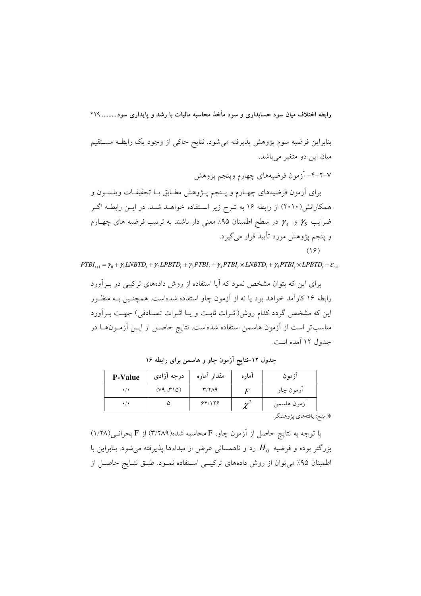بنابراین فرضیه سوم پژوهش پذیرفته میشود. نتایج حاکی از وجود یک رابطـه مسـتقیم میان این دو متغیر می باشد.

 $PTBI_{t+1} = \gamma_0 + \gamma_1 LNBTD_t + \gamma_2 LPBTD_t + \gamma_3 PTBI_t + \gamma_4 PTBI_t \times LNBTD_t + \gamma_5 PTBI_t \times LPBTD_t + \varepsilon_{t+1}$ 

برای این که بتوان مشخص نمود که آیا استفاده از روش دادههای ترکیبی در بـرآورد رابطه ۱۶ کارآمد خواهد بود یا نه از آزمون چاو استفاده شدهاست. همچنـین بــه منظـور این که مشخص گردد کدام روش(اثـرات ثابـت و یـا اثـرات تصـادفی) جهـت بـرآورد مناسبتر است از آزمون هاسمن استفاده شدهاست. نتایج حاصـل از ایــن آزمــون۱عـا در جدول ۱۲ آمده است.

| <b>P-Value</b>    | درجه آزادی | مقدار أماره | امار ه | ازمون                    |
|-------------------|------------|-------------|--------|--------------------------|
| $\cdot$ / $\cdot$ | (Y9, Y10)  | ۳/۲۸۹       |        | ازمون چاو                |
| $\cdot$ / $\cdot$ |            | 94/179      |        | ازمون هاسمن              |
|                   |            |             |        | * منبع: یافتههای پژوهشگر |

جدول ۱۲-نتایج آزمون چاو و هاسمن برای رابطه ۱۶

با توجه به نتايج حاصل از آزمون چاو، F محاسبه شده(۳/۲۸۹) از F بحرانـی(۱/۲۸) بزرگتر بوده و فرضیه  $H_0$  رد و ناهمسانی عرض از مبداءها پذیرفته می شود. بنابراین با اطمینان ۹۵٪ میتوان از روش دادههای ترکیبے استفاده نمـود. طبـق نتـایج حاصـل از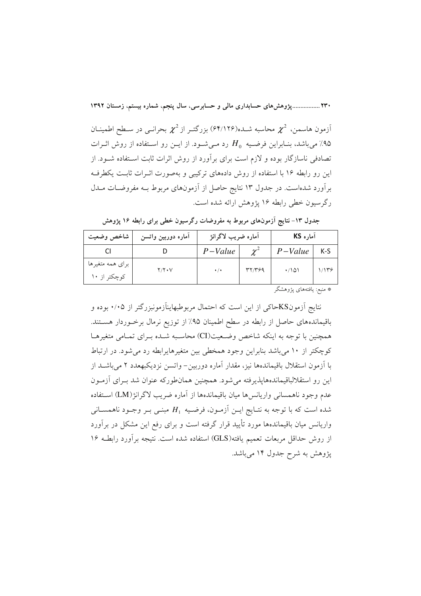۲۳۰ .................. یژوهش های حسابداری مالی و حسابرسی، سال ینجم، شماره بیستم، زمستان ۱۳۹۲

آزمون هاسمن،  $\chi^2$  محاسبه شــده(۶۴/۱۲۶) بزرگتـر از  $\chi^2$  بحرانــی در ســطح اطمینــان .<br>۹۵٪ می باشد، بنـابراین فرضـیه  $H_0$  رد مـی شـود. از ایــن رو اسـتفاده از روش اثــرات تصادفی ناسازگار بوده و لازم است برای برآورد از روش اثرات ثابت استفاده شـود. از این رو رابطه ۱۶ با استفاده از روش دادههای ترکیبی و بهصورت اثـرات ثابـت یکطرفـه برآورد شدهاست. در جدول ۱۳ نتایج حاصل از آزمونهای مربوط بـه مفروضـات مـدل رگرسیون خطی رابطه ۱۶ پژوهش ارائه شده است.

| شاخص وضعيت                       | اماره دوربين واتسن | آماره ضريب لاگرانژ |            | آماره KS                                |       |
|----------------------------------|--------------------|--------------------|------------|-----------------------------------------|-------|
|                                  |                    | $P-Value$          | $\gamma^2$ | $P-Value$                               | $K-S$ |
| براي همه متغيرها<br>کوچکتر از ۱۰ | $Y/Y\cdot V$       | $\cdot/$           | 37/٣۶٩     | $\cdot$ /101                            | 1/179 |
|                                  |                    |                    |            | الله النائم المستدركة المتحركة المتحركة |       |

جدول ۱۳- نتایج آزمونهای مربوط به مفروضات رگرسیون خطی برای رابطه ۱۶ پژوهش

\* منبع: یافتههای پژوهشگر

نتایج آزمونKSحاکی از این است که احتمال مربوطبهاینآزمونبزرگتر از ۰/۰۵ بوده و باقیماندههای حاصل از رابطه در سطح اطمینان ۹۵٪ از توزیع نرمال برخوردار هستند. همچنین با توجه به اینکه شاخص وضعیت(CI) محاسبه شـده بـرای تمـامی متغیرهـا کوچکتر از ۱۰ میباشد بنابراین وجود همخطی بین متغیرهایرابطه رد میشود. در ارتباط با آزمون استقلال باقیماندهها نیز، مقدار آماره دوربین– واتسن نزدیکبهعدد ۲ میباشــد از این رو استقلالباقیماندههاپذیرفته می شود. همچنین همانطورکه عنوان شد بـرای آزمـون عدم وجود ناهمساني واريانس ها ميان باقيماندهها از آماره ضريب لاگرانژ(LM) اسـتفاده شده است که با توجه به نتـايج ايــن اَزمــون، فرضـيه  $H_1$  مبنــي بــر وجــود ناهمســاني واریانس میان باقیماندهها مورد تأیید قرار گرفته است و برای رفع این مشکل در برآورد از روش حداقل مربعات تعميم يافته(GLS) استفاده شده است. نتيجه برأورد رابطـه ۱۶ یژوهش به شرح جدول ۱۴ میباشد.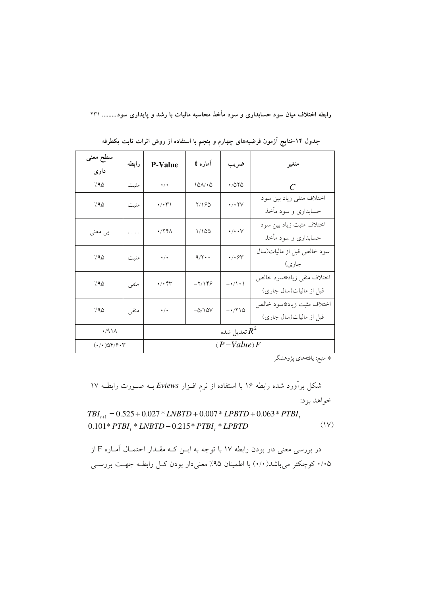| سطح معنى<br>داری                                             | رابطه | <b>P-Value</b>       | آماره t             | ضريب                                | متغير                                                |
|--------------------------------------------------------------|-------|----------------------|---------------------|-------------------------------------|------------------------------------------------------|
| 7.90                                                         | مثبت  | $\cdot/$             | $10\lambda/\cdot 0$ | .7080                               | $\mathcal{C}$                                        |
| 7.90                                                         | مثبت  | $\cdot/\cdot$ (*)    | 7190                | $\cdot$ / $\cdot$ $\uparrow$ $\vee$ | اختلاف منفي زياد بين سود<br>حسابداری و سود مأخذ      |
| بی معنی                                                      |       | $\cdot$ /۲۴ $\wedge$ | 1/100               | $\cdot/\cdot\cdot\vee$              | اختلاف مثبت زياد بين سود<br>حسابداری و سود مأخذ      |
| 7.90                                                         | مثبت  | $\cdot/$             | $9/1$ .             | $\cdot$ / $\cdot$ $\cdot$ $\cdot$   | سود خالص قبل از ماليات(سال<br>جاري)                  |
| 7.90                                                         | منفى  | $\cdot/\cdot$ ۴۳     | $-7/199$            | $-\cdot/\rangle \cdot \rangle$      | اختلاف منفي زياد،سود خالص<br>قبل از مالیات(سال جاری) |
| 790                                                          | منفي  | $\cdot/$             | $-\Delta/\Delta V$  | $-1710$                             | اختلاف مثبت زياد#سود خالص<br>قبل از مالیات(سال جاری) |
| $\cdot$ /911                                                 |       | تعديل شده $\,R^2$    |                     |                                     |                                                      |
| $( \cdot / \cdot ) \Delta f / \mathcal{F} \cdot \mathcal{F}$ |       | $(P-Value)F$         |                     |                                     |                                                      |

جدول ۱۴-نتایج آزمون فرضیههای چهارم و پنجم با استفاده از روش اثرات ثابت یکطرفه

.<br>\* منبع: یافتههای پژوهشگر

$$
TBI_{t+1} = 0.525 + 0.027 * LNBTD + 0.007 * LPBTD + 0.063 * PTBI_t
$$
  
0.101\* *PTBI<sub>t</sub>* \* LNBTD - 0.215 \* *PTBI<sub>t</sub>* \* LPBTD (1V)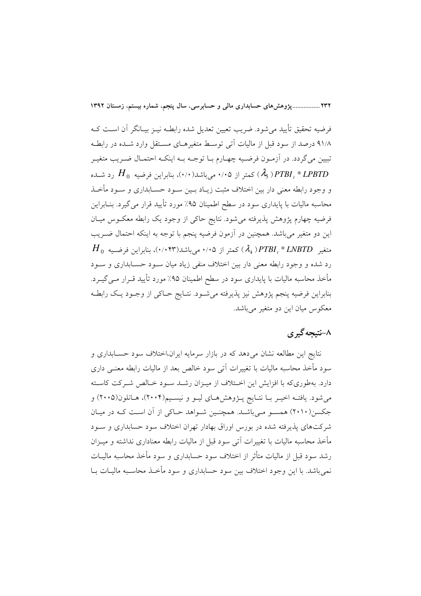۲۳۲ ................. یژوهش های حسابداری مالی و حسابرسی، سال پنجم، شماره بیستم، زمستان ۱۳۹۲

فرضيه تحقيق تأييد مىشود. ضريب تعيين تعديل شده رابطـه نيــز بيــانگر آن اســت كــه ۹۱/۸ درصد از سود قبل از مالیات آتی توسط متغیرهـای مسـتقل وارد شـده در رابطـه تبیین می گردد. در آزمـون فرضـیه چهـارم بـا توجـه بـه اینکـه احتمـال ضـریب متغیـر کمتر از ۰/۰۵، می باشد(۰/۰)، بنابراین فرضیه  $H_0$  رد شــده (۰/۰)، بنابراین فرضیه  $H_0$  رد شــده و وجود رابطه معنى دار بين اختلاف مثبت زيباد ببين سبود حسبابداري و سبود مأخبذ محاسبه ماليات با پايداري سود در سطح اطمينان ۹۵٪ مورد تأييد قرار مي گيرد. بنــابراين فرضیه چهارم پژوهش پذیرفته میشود. نتایج حاکی از وجود یک رابطه معکـوس میـان این دو متغیر میباشد. همچنین در آزمون فرضیه پنجم با توجه به اینکه احتمال ضـریب  $H_0$  متغیر  $FBL, *LNBTD$  ( ۰/۰۴۳)می باشد(۰/۰۴۳)، بنابراین فرضـیه رد شده و وجود رابطه معنی دار بین اختلاف منفی زیاد میان سـود حسـابداری و سـود مأخذ محاسبه مالیات با پایداری سود در سطح اطمینان ۹۵٪ مورد تأیید قــرار مــی&یــرد. بنابراين فرضيه پنجم پژوهش نيز پذيرفته مي شـود. نتـايج حـاكي از وجـود يـك رابطـه معکوس میان این دو متغیر می باشد.

## ۸-نتىجەگىرى

نتايج اين مطالعه نشان مي دهد كه در بازار سرمايه ايران،اختلاف سود حسـابداري و سود مأخذ محاسبه ماليات با تغييرات آتي سود خالص بعد از ماليات رابطه معنــي داري دارد. بهطوریکه با افزایش این اخـتلاف از میـزان رشـد سـود خـالص شـرکت کاسـته میشود. یافتـه اخیـر بـا نتـایج پـژوهشهـای لیـو و نیسـیم(۲۰۰۴)، هـانلون(۲۰۰۵) و جکسن(۲۰۱۰) همسـو مـیباشـد. همچنـین شـواهد حـاکی از آن اسـت کـه در میـان شرکتهای پذیرفته شده در بورس اوراق بهادار تهران اختلاف سود حسابداری و سـود مأخذ محاسبه ماليات با تغييرات آتي سود قبل از ماليات رابطه معناداري نداشته و ميــزان رشد سود قبل از مالیات متأثر از اختلاف سود حسابداری و سود مأخذ محاسبه مالیــات نمي باشد. با اين وجود اختلاف بين سود حسابداري و سود مأخـذ محاسـبه ماليــات بــا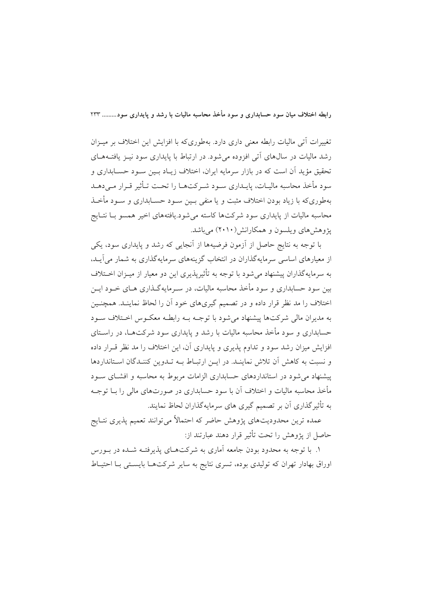تغییرات اَتی مالیات رابطه معنی داری دارد. بهطوری که با افزایش این اختلاف بر میـزان رشد مالیات در سالهای آتی افزوده می شود. در ارتباط با پایداری سود نیــز یافتــههــای تحقیق مؤید آن است که در بازار سرمایه ایران، اختلاف زیـاد بـین سـود حسـابداری و سود مأخذ محاسبه ماليـات، پايـداري سـود شـركتهـا را تحـت تـأثير قـرار مـي(هـد بهطوریکه با زیاد بودن اختلاف مثبت و یا منفی بـین سـود حســابداری و سـود مأخــذ محاسبه مالیات از پایداری سود شرکتها کاسته می شود.پافتههای اخیر همسو بـا نتـایج یژوهش های ویلسون و همکارانش(۲۰۱۰) می باشد.

با توجه به نتایج حاصل از آزمون فرضیهها از آنجایی که رشد و پایداری سود، یکی از معبارهای اساسی سرمایهگذاران در انتخاب گزینههای سرمایهگذاری به شمار می آیـد، به سرمایهگذاران پیشنهاد می شود با توجه به تأثیرپذیری این دو معیار از میـزان اخــتلاف بین سود حسابداری و سود مأخذ محاسبه مالیات، در سـرمایهگـذاری هـای خــود ایــن اختلاف را مد نظر قرار داده و در تصمیم گیریهای خود آن را لحاظ نماینـد. همچنـین به مدیران مالی شرکتها پیشنهاد می شود با توجـه بـه رابطـه معکـوس اخـتلاف سـود حسابداری و سود مأخذ محاسبه مالیات با رشد و پایداری سود شرکتهـا، در راسـتای افزایش میزان رشد سود و تداوم پذیری و پایداری آن، این اختلاف را مد نظر قــرار داده و نسبت به کاهش آن تلاش نماینـد. در ایـن ارتبـاط بــه تــدوین کننــدگان اسـتانداردها پیشنهاد می شود در استانداردهای حسابداری الزامات مربوط به محاسبه و افشـای سـود مأخذ محاسبه مالیات و اختلاف آن با سود حسابداری در صورتهای مالی را بــا توجــه به تأثیر گذاری آن بر تصمیم گیری های سرمایهگذاران لحاظ نمایند.

عمده ترین محدودیتهای پژوهش حاضر که احتمالاً می توانند تعمیم پذیری نتـایج حاصل از پژوهش را تحت تأثیر قرار دهند عبارتند از:

۱. با توجه به محدود بودن جامعه آماری به شرکتهـای پذیرفتـه شـده در بــورس اوراق بهادار تهران که تولیدی بوده، تسری نتایج به سایر شرکتها بایستی بـا احتیـاط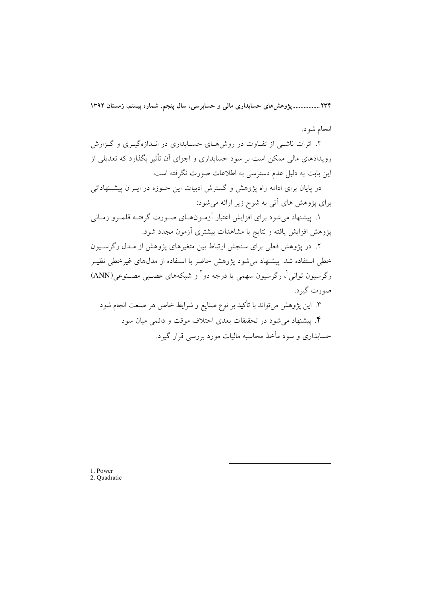۲۳۴ ................. پژوهش های حسابداری مالی و حسابرسی، سال پنجم، شماره بیستم، زمستان ۱۳۹۲

انجام شود.

۲. اثرات ناشــی از تفــاوت در روشهـای حســابداری در انــدازهگیــری و گــزارش رویدادهای مالی ممکن است بر سود حسابداری و اجزای آن تأثیر بگذارد که تعدیلی از این بابت به دلیل عدم دسترسی به اطلاعات صورت نگرفته است.

در پایان برای ادامه راه یژوهش و گسترش ادبیات این حـوزه در ایــران پیشــنهاداتی برای پژوهش های آتی به شرح زیر ارائه میشود:

۱. پیشنهاد میشود برای افزایش اعتبار آزمـون۱مـای صـورت گرفتـه قلمـرو زمـانی يژوهش افزايش يافته و نتايج با مشاهدات بيشتري آزمون مجدد شود.

۲. در پژوهش فعلی برای سنجش ارتباط بین متغیرهای پژوهش از مـدل رگرسـیون .<br>خطی استفاده شد. پیشنهاد می شود پژوهش حاضر با استفاده از مدلهای غیرخطی نظیـر رگرسیون توانی <sup>۱</sup>، رگرسیون سهمی یا درجه دو <sup>۲</sup> و شبکههای عصبی مصـنوعی(ANN) صورت گېرد.

۳. این پژوهش میتواند با تأکید بر نوع صنایع و شرایط خاص هر صنعت انجام شود. ۴. پیشنهاد میشود در تحقیقات بعدی اختلاف موقت و دائمی میان سود حسابداری و سود مأخذ محاسبه مالیات مورد بررسی قرار گیرد.

1. Power 2. Quadratic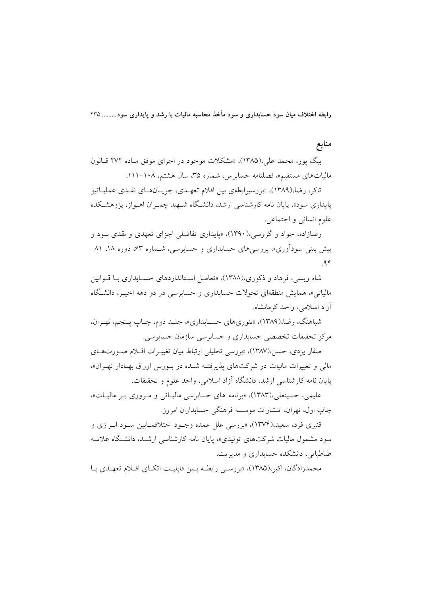منابع

بیگ یور، محمد علی، (۱۳۸۵)، «مشکلات موجود در اجرای موفق مـاده ۲۷۲ قـانون مالياتهاي مستقيم»، فصلنامه حسابرس، شماره ۳۵، سال هشتم، ۱۰۸–۱۱۱.

تاکر، رضا،(۱۳۸۹)، «بررسیرابطهی بین اقلام تعهـدی، جریـانهـای نقـدی عملیـاتیو پایداری سود»، پایان نامه کارشناسی ارشد، دانشگاه شهید چمـران اهـواز، پژوهشـکده علوم انسانی و اجتماعی.

رضازاده، جواد و گروسی،(۱۳۹۰)، «پایداری تفاضلی اجزای تعهدی و نقدی سود و پیش بینی سودآوری»، بررسیهای حسابداری و حسابرسی، شــماره ۶۳، دوره ۱۸، ۸۱ـ  $99$ 

شاه ویسی، فرهاد و ذکوری،(۱۳۸۸)، «تعامـل اسـتانداردهای حســابداری بــا قــوانین مالیاتی»، همایش منطقهای تحولات حسابداری و حسابرسی در دو دهه اخیــر، دانشـگاه آزاد اسلامی، واحد که مانشاه.

شباهنگ، رضا،(۱۳۸۹)، «تئوريهاي حســابداري»، جلـد دوم، چــاپ پــنجم، تهـران، مرکز تحقیقات تخصصی حسابداری و حسابرسی سازمان حسابرسی.

صفار یزدی، حسن،(۱۳۸۷)، «بررسی تحلیلی ارتباط میان تغییـرات اقـلام صـورتهـای مالی و تغییرات مالیات در شرکتهای پذیرفتـه شـده در بـورس اوراق بهـادار تهـران»، پایان نامه کارشناسی ارشد، دانشگاه آزاد اسلامی، واحد علوم و تحقیقات.

علیمی، حسینعلی،(۱۳۸۳)، «برنامه های حسابرسی مالیـاتی و مـروری بـر مالیـات»، چاپ اول، تهران، انتشارات موسسه فرهنگی حسابداران امروز.

قنبري فرد، سعيد،(١٣٧۴)، «بررسي علل عمده وجـود اختلافمــابين سـود ابــرازي و سود مشمول مالیات شرکتهای تولیدی»، پایان نامه کارشناسی ارشـد، دانشگاه علامـه طباطبایی، دانشکده حسابداری و مدیریت.

محمدزادگان، اکبر،(۱۳۸۵)، «بررسبی رابطـه بـین قابلیـت اتکـای اقـلام تعهـدی بـا